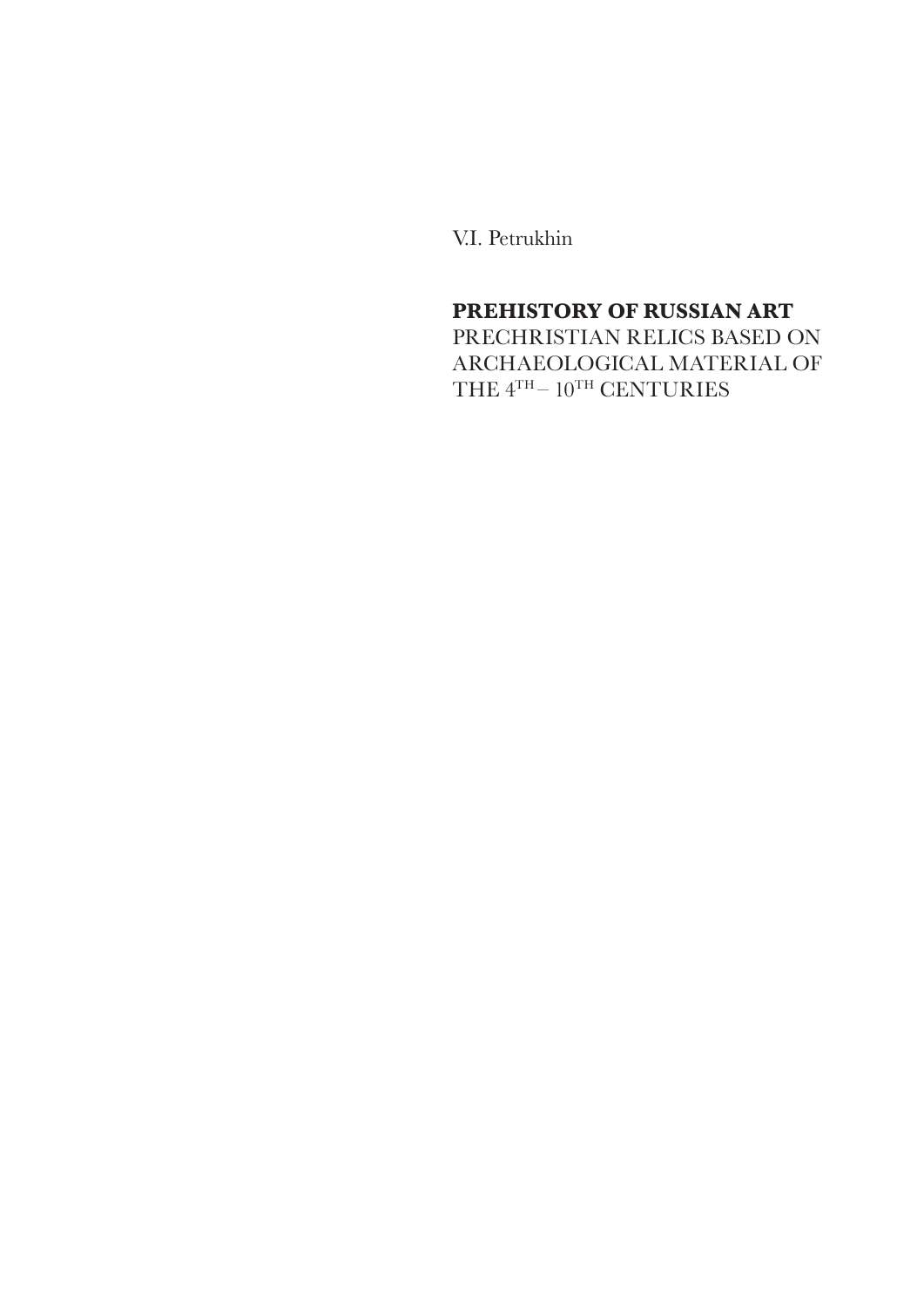V.I. Petrukhin

# **PREHISTORY OF RUSSIAN ART**

PRECHRISTIAN RELICS BASED ON ARCHAEOLOGICAL MATERIAL OF THE  $4^{\mathrm{TH}}$  –  $10^{\mathrm{TH}}$  CENTURIES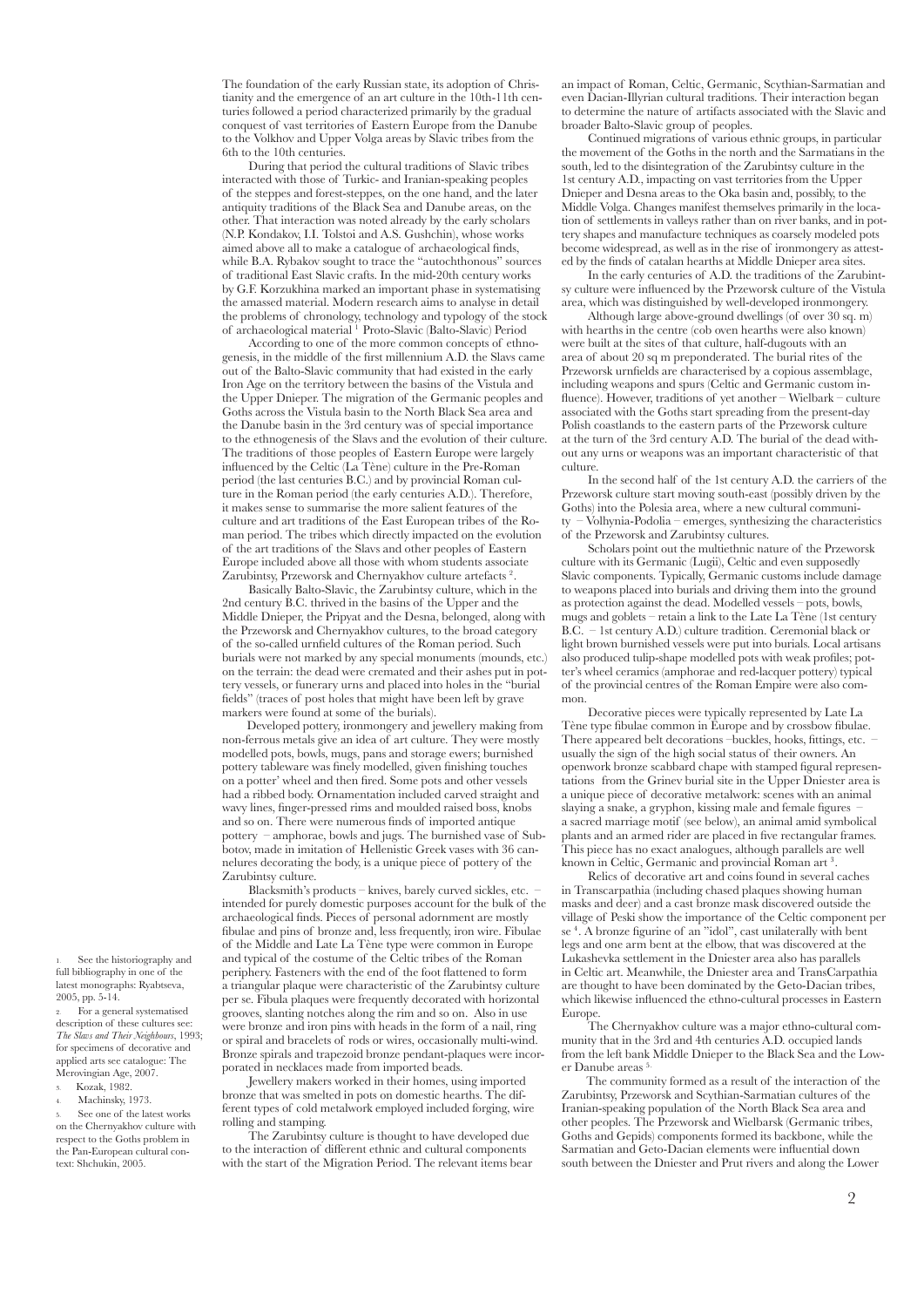The foundation of the early Russian state, its adoption of Christianity and the emergence of an art culture in the 10th-11th centuries followed a period characterized primarily by the gradual conquest of vast territories of Eastern Europe from the Danube to the Volkhov and Upper Volga areas by Slavic tribes from the 6th to the 10th centuries.

During that period the cultural traditions of Slavic tribes interacted with those of Turkic- and Iranian-speaking peoples of the steppes and forest-steppes, on the one hand, and the later antiquity traditions of the Black Sea and Danube areas, on the other. That interaction was noted already by the early scholars (N.P. Kondakov, I.I. Tolstoi and A.S. Gushchin), whose works aimed above all to make a catalogue of archaeological finds, while B.A. Rybakov sought to trace the "autochthonous" sources of traditional East Slavic crafts. In the mid-20th century works by G.F. Korzukhina marked an important phase in systematising the amassed material. Modern research aims to analyse in detail the problems of chronology, technology and typology of the stock of archaeological material 1 Proto-Slavic (Balto-Slavic) Period

According to one of the more common concepts of ethnogenesis, in the middle of the first millennium A.D. the Slavs came out of the Balto-Slavic community that had existed in the early Iron Age on the territory between the basins of the Vistula and the Upper Dnieper. The migration of the Germanic peoples and Goths across the Vistula basin to the North Black Sea area and the Danube basin in the 3rd century was of special importance to the ethnogenesis of the Slavs and the evolution of their culture. The traditions of those peoples of Eastern Europe were largely influenced by the Celtic (La Tène) culture in the Pre-Roman period (the last centuries B.C.) and by provincial Roman culture in the Roman period (the early centuries A.D.). Therefore, it makes sense to summarise the more salient features of the culture and art traditions of the East European tribes of the Roman period. The tribes which directly impacted on the evolution of the art traditions of the Slavs and other peoples of Eastern Europe included above all those with whom students associate Zarubintsy, Przeworsk and Chernyakhov culture artefacts<sup>2</sup>

Basically Balto-Slavic, the Zarubintsy culture, which in the 2nd century B.C. thrived in the basins of the Upper and the Middle Dnieper, the Pripyat and the Desna, belonged, along with the Przeworsk and Chernyakhov cultures, to the broad category of the so-called urnfield cultures of the Roman period. Such burials were not marked by any special monuments (mounds, etc.) on the terrain: the dead were cremated and their ashes put in pottery vessels, or funerary urns and placed into holes in the "burial fields" (traces of post holes that might have been left by grave markers were found at some of the burials).

Developed pottery, ironmongery and jewellery making from non-ferrous metals give an idea of art culture. They were mostly modelled pots, bowls, mugs, pans and storage ewers; burnished pottery tableware was finely modelled, given finishing touches on a potter' wheel and then fired. Some pots and other vessels had a ribbed body. Ornamentation included carved straight and wavy lines, finger-pressed rims and moulded raised boss, knobs and so on. There were numerous finds of imported antique pottery – amphorae, bowls and jugs. The burnished vase of Subbotov, made in imitation of Hellenistic Greek vases with 36 cannelures decorating the body, is a unique piece of pottery of the Zarubintsy culture.

Blacksmith's products – knives, barely curved sickles, etc. – intended for purely domestic purposes account for the bulk of the archaeological finds. Pieces of personal adornment are mostly fibulae and pins of bronze and, less frequently, iron wire. Fibulae of the Middle and Late La Tène type were common in Europe and typical of the costume of the Celtic tribes of the Roman periphery. Fasteners with the end of the foot flattened to form a triangular plaque were characteristic of the Zarubintsy culture per se. Fibula plaques were frequently decorated with horizontal grooves, slanting notches along the rim and so on. Also in use were bronze and iron pins with heads in the form of a nail, ring or spiral and bracelets of rods or wires, occasionally multi-wind. Bronze spirals and trapezoid bronze pendant-plaques were incorporated in necklaces made from imported beads.

Jewellery makers worked in their homes, using imported bronze that was smelted in pots on domestic hearths. The different types of cold metalwork employed included forging, wire rolling and stamping.

The Zarubintsy culture is thought to have developed due to the interaction of different ethnic and cultural components with the start of the Migration Period. The relevant items bear an impact of Roman, Celtic, Germanic, Scythian-Sarmatian and even Dacian-Illyrian cultural traditions. Their interaction began to determine the nature of artifacts associated with the Slavic and broader Balto-Slavic group of peoples.

Continued migrations of various ethnic groups, in particular the movement of the Goths in the north and the Sarmatians in the south, led to the disintegration of the Zarubintsy culture in the 1st century A.D., impacting on vast territories from the Upper Dnieper and Desna areas to the Oka basin and, possibly, to the Middle Volga. Changes manifest themselves primarily in the location of settlements in valleys rather than on river banks, and in pottery shapes and manufacture techniques as coarsely modeled pots become widespread, as well as in the rise of ironmongery as attested by the finds of catalan hearths at Middle Dnieper area sites.

In the early centuries of A.D. the traditions of the Zarubintsy culture were influenced by the Przeworsk culture of the Vistula area, which was distinguished by well-developed ironmongery.

Although large above-ground dwellings (of over 30 sq. m) with hearths in the centre (cob oven hearths were also known) were built at the sites of that culture, half-dugouts with an area of about 20 sq m preponderated. The burial rites of the Przeworsk urnfields are characterised by a copious assemblage, including weapons and spurs (Celtic and Germanic custom influence). However, traditions of yet another – Wielbark – culture associated with the Goths start spreading from the present-day Polish coastlands to the eastern parts of the Przeworsk culture at the turn of the 3rd century A.D. The burial of the dead without any urns or weapons was an important characteristic of that culture.

In the second half of the 1st century A.D. the carriers of the Przeworsk culture start moving south-east (possibly driven by the Goths) into the Polesia area, where a new cultural communi- $-$  Volhynia-Podolia – emerges, synthesizing the characteristics of the Przeworsk and Zarubintsy cultures.

Scholars point out the multiethnic nature of the Przeworsk culture with its Germanic (Lugii), Celtic and even supposedly Slavic components. Typically, Germanic customs include damage to weapons placed into burials and driving them into the ground as protection against the dead. Modelled vessels – pots, bowls, mugs and goblets – retain a link to the Late La Tène (1st century B.C. – 1st century A.D.) culture tradition. Ceremonial black or light brown burnished vessels were put into burials. Local artisans also produced tulip-shape modelled pots with weak profiles; potter's wheel ceramics (amphorae and red-lacquer pottery) typical of the provincial centres of the Roman Empire were also common.

Decorative pieces were typically represented by Late La Tène type fibulae common in Europe and by crossbow fibulae. There appeared belt decorations –buckles, hooks, fittings, etc. – usually the sign of the high social status of their owners. An openwork bronze scabbard chape with stamped figural representations from the Grinev burial site in the Upper Dniester area is a unique piece of decorative metalwork: scenes with an animal slaying a snake, a gryphon, kissing male and female figures – a sacred marriage motif (see below), an animal amid symbolical plants and an armed rider are placed in five rectangular frames. This piece has no exact analogues, although parallels are well known in Celtic, Germanic and provincial Roman art<sup>3</sup>

Relics of decorative art and coins found in several caches in Transcarpathia (including chased plaques showing human masks and deer) and a cast bronze mask discovered outside the village of Peski show the importance of the Celtic component per se<sup>4</sup>. A bronze figurine of an "idol", cast unilaterally with bent legs and one arm bent at the elbow, that was discovered at the Lukashevka settlement in the Dniester area also has parallels in Celtic art. Meanwhile, the Dniester area and TransCarpathia are thought to have been dominated by the Geto-Dacian tribes which likewise influenced the ethno-cultural processes in Eastern Europe.

The Chernyakhov culture was a major ethno-cultural community that in the 3rd and 4th centuries A.D. occupied lands from the left bank Middle Dnieper to the Black Sea and the Lower Danube areas $^5$ 

The community formed as a result of the interaction of the Zarubintsy, Przeworsk and Scythian-Sarmatian cultures of the Iranian-speaking population of the North Black Sea area and other peoples. The Przeworsk and Wielbarsk (Germanic tribes, Goths and Gepids) components formed its backbone, while the Sarmatian and Geto-Dacian elements were influential down south between the Dniester and Prut rivers and along the Lower

See the historiography and full bibliography in one of the latest monographs: Ryabtseva, 2005, pp. 5-14.

For a general systematised description of these cultures see: *The Slavs and Their Neighbours*, 1993; for specimens of decorative and applied arts see catalogue: The Merovingian Age, 2007.

- 3. Kozak, 1982.
- Machinsky, 1973.

5. See one of the latest works on the Chernyakhov culture with respect to the Goths problem in the Pan-European cultural context: Shchukin, 2005.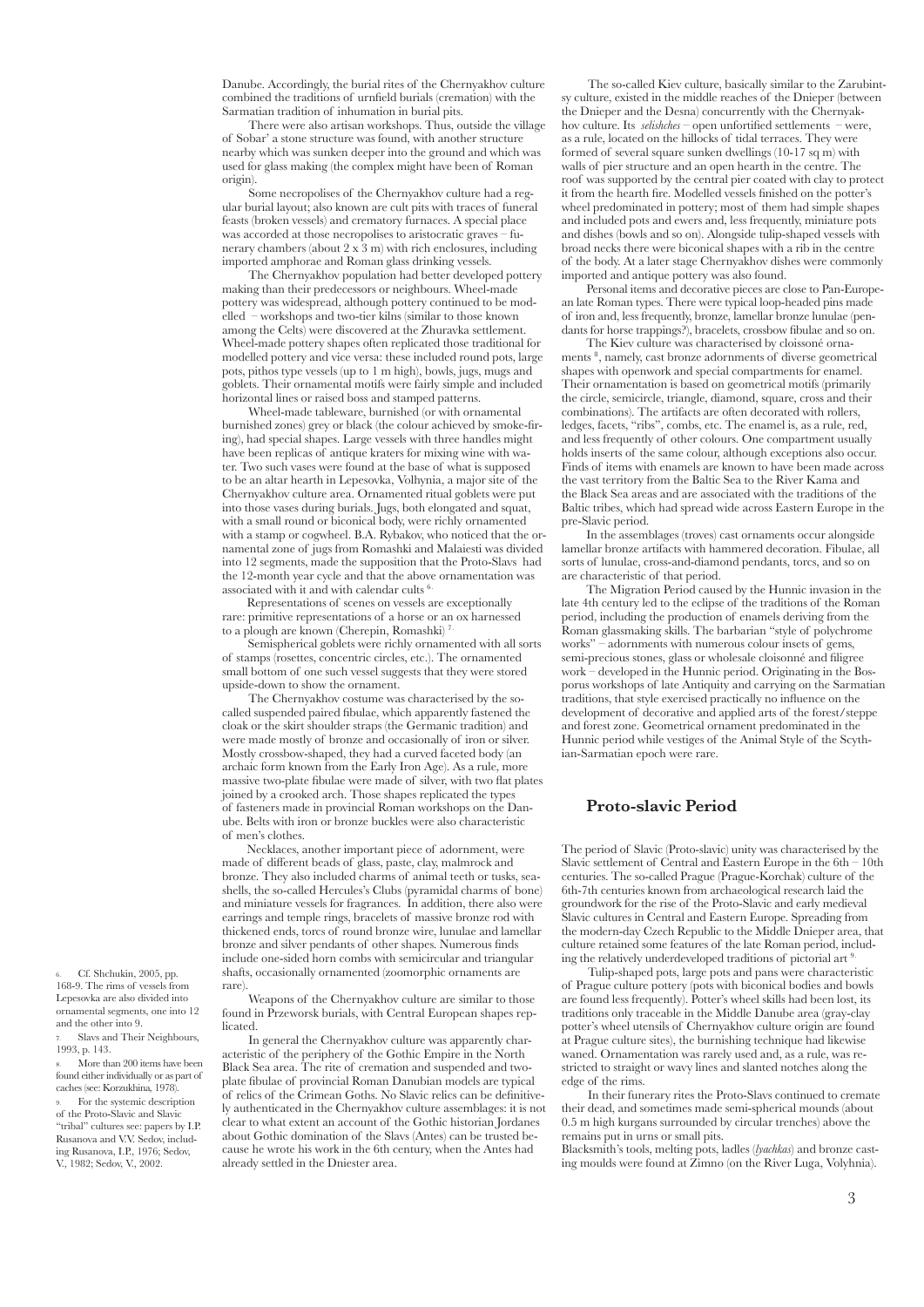Danube. Accordingly, the burial rites of the Chernyakhov culture combined the traditions of urnfield burials (cremation) with the Sarmatian tradition of inhumation in burial pits.

There were also artisan workshops. Thus, outside the village of Sobar' a stone structure was found, with another structure nearby which was sunken deeper into the ground and which was used for glass making (the complex might have been of Roman origin).

Some necropolises of the Chernyakhov culture had a regular burial layout; also known are cult pits with traces of funeral feasts (broken vessels) and crematory furnaces. A special place was accorded at those necropolises to aristocratic graves – funerary chambers (about  $2 \times 3$  m) with rich enclosures, including imported amphorae and Roman glass drinking vessels.

The Chernyakhov population had better developed pottery making than their predecessors or neighbours. Wheel-made pottery was widespread, although pottery continued to be modelled – workshops and two-tier kilns (similar to those known among the Celts) were discovered at the Zhuravka settlement. Wheel-made pottery shapes often replicated those traditional for modelled pottery and vice versa: these included round pots, large pots, pithos type vessels (up to 1 m high), bowls, jugs, mugs and goblets. Their ornamental motifs were fairly simple and included horizontal lines or raised boss and stamped patterns.

Wheel-made tableware, burnished (or with ornamental burnished zones) grey or black (the colour achieved by smoke-firing), had special shapes. Large vessels with three handles might have been replicas of antique kraters for mixing wine with water. Two such vases were found at the base of what is supposed to be an altar hearth in Lepesovka, Volhynia, a major site of the Chernyakhov culture area. Ornamented ritual goblets were put into those vases during burials. Jugs, both elongated and squat, with a small round or biconical body, were richly ornamented with a stamp or cogwheel. B.A. Rybakov, who noticed that the ornamental zone of jugs from Romashki and Malaiesti was divided into 12 segments, made the supposition that the Proto-Slavs had the 12-month year cycle and that the above ornamentation was associated with it and with calendar cults <sup>6</sup>

Representations of scenes on vessels are exceptionally rare: primitive representations of a horse or an ox harnessed to a plough are known (Cherepin, Romashki) 7.

Semispherical goblets were richly ornamented with all sorts of stamps (rosettes, concentric circles, etc.). The ornamented small bottom of one such vessel suggests that they were stored upside-down to show the ornament.

The Chernyakhov costume was characterised by the socalled suspended paired fibulae, which apparently fastened the cloak or the skirt shoulder straps (the Germanic tradition) and were made mostly of bronze and occasionally of iron or silver. Mostly crossbow-shaped, they had a curved faceted body (an archaic form known from the Early Iron Age). As a rule, more massive two-plate fibulae were made of silver, with two flat plates joined by a crooked arch. Those shapes replicated the types of fasteners made in provincial Roman workshops on the Danube. Belts with iron or bronze buckles were also characteristic of men's clothes.

Necklaces, another important piece of adornment, were made of different beads of glass, paste, clay, malmrock and bronze. They also included charms of animal teeth or tusks, seashells, the so-called Hercules's Clubs (pyramidal charms of bone) and miniature vessels for fragrances. In addition, there also were earrings and temple rings, bracelets of massive bronze rod with thickened ends, torcs of round bronze wire, lunulae and lamellar bronze and silver pendants of other shapes. Numerous finds include one-sided horn combs with semicircular and triangular shafts, occasionally ornamented (zoomorphic ornaments are rare).

Weapons of the Chernyakhov culture are similar to those found in Przeworsk burials, with Central European shapes replicated.

In general the Chernyakhov culture was apparently characteristic of the periphery of the Gothic Empire in the North Black Sea area. The rite of cremation and suspended and twoplate fibulae of provincial Roman Danubian models are typical of relics of the Crimean Goths. No Slavic relics can be definitively authenticated in the Chernyakhov culture assemblages: it is not clear to what extent an account of the Gothic historian Jordanes about Gothic domination of the Slavs (Antes) can be trusted because he wrote his work in the 6th century, when the Antes had already settled in the Dniester area.

The so-called Kiev culture, basically similar to the Zarubintsy culture, existed in the middle reaches of the Dnieper (between the Dnieper and the Desna) concurrently with the Chernyakhov culture. Its *selishches* – open unfortified settlements – were, as a rule, located on the hillocks of tidal terraces. They were formed of several square sunken dwellings (10-17 sq m) with walls of pier structure and an open hearth in the centre. The roof was supported by the central pier coated with clay to protect it from the hearth fire. Modelled vessels finished on the potter's wheel predominated in pottery; most of them had simple shapes and included pots and ewers and, less frequently, miniature pots and dishes (bowls and so on). Alongside tulip-shaped vessels with broad necks there were biconical shapes with a rib in the centre of the body. At a later stage Chernyakhov dishes were commonly imported and antique pottery was also found.

Personal items and decorative pieces are close to Pan-European late Roman types. There were typical loop-headed pins made of iron and, less frequently, bronze, lamellar bronze lunulae (pendants for horse trappings?), bracelets, crossbow fibulae and so on.

The Kiev culture was characterised by cloissoné ornaments 8, namely, cast bronze adornments of diverse geometrical shapes with openwork and special compartments for enamel. Their ornamentation is based on geometrical motifs (primarily the circle, semicircle, triangle, diamond, square, cross and their combinations). The artifacts are often decorated with rollers, ledges, facets, "ribs", combs, etc. The enamel is, as a rule, red, and less frequently of other colours. One compartment usually holds inserts of the same colour, although exceptions also occur. Finds of items with enamels are known to have been made across the vast territory from the Baltic Sea to the River Kama and the Black Sea areas and are associated with the traditions of the Baltic tribes, which had spread wide across Eastern Europe in the pre-Slavic period.

In the assemblages (troves) cast ornaments occur alongside lamellar bronze artifacts with hammered decoration. Fibulae, all sorts of lunulae, cross-and-diamond pendants, torcs, and so on are characteristic of that period.

The Migration Period caused by the Hunnic invasion in the late 4th century led to the eclipse of the traditions of the Roman period, including the production of enamels deriving from the Roman glassmaking skills. The barbarian "style of polychrome works" – adornments with numerous colour insets of gems, semi-precious stones, glass or wholesale cloisonné and filigree work – developed in the Hunnic period. Originating in the Bosporus workshops of late Antiquity and carrying on the Sarmatian traditions, that style exercised practically no influence on the development of decorative and applied arts of the forest/steppe and forest zone. Geometrical ornament predominated in the Hunnic period while vestiges of the Animal Style of the Scythian-Sarmatian epoch were rare.

# **Proto-slavic Period**

The period of Slavic (Proto-slavic) unity was characterised by the Slavic settlement of Central and Eastern Europe in the 6th – 10th centuries. The so-called Prague (Prague-Korchak) culture of the 6th-7th centuries known from archaeological research laid the groundwork for the rise of the Proto-Slavic and early medieval Slavic cultures in Central and Eastern Europe. Spreading from the modern-day Czech Republic to the Middle Dnieper area, that culture retained some features of the late Roman period, including the relatively underdeveloped traditions of pictorial art 9.

Tulip-shaped pots, large pots and pans were characteristic of Prague culture pottery (pots with biconical bodies and bowls are found less frequently). Potter's wheel skills had been lost, its traditions only traceable in the Middle Danube area (gray-clay potter's wheel utensils of Chernyakhov culture origin are found at Prague culture sites), the burnishing technique had likewise waned. Ornamentation was rarely used and, as a rule, was restricted to straight or wavy lines and slanted notches along the edge of the rims.

In their funerary rites the Proto-Slavs continued to cremate their dead, and sometimes made semi-spherical mounds (about 0.5 m high kurgans surrounded by circular trenches) above the remains put in urns or small pits.

Blacksmith's tools, melting pots, ladles (*lyachkas*) and bronze casting moulds were found at Zimno (on the River Luga, Volyhnia).

6. Cf. Shchukin, 2005, pp. 168-9. The rims of vessels from Lepesovka are also divided into ornamental segments, one into 12 and the other into 9.

Slavs and Their Neighbours, 1993, p. 143.

More than 200 items have been found either individually or as part of caches (see: Korzukhina*,* 1978). For the systemic description of the Proto-Slavic and Slavic "tribal" cultures see: papers by I.P. Rusanova and V.V. Sedov, including Rusanova, I.P., 1976; Sedov, V., 1982; Sedov, V., 2002.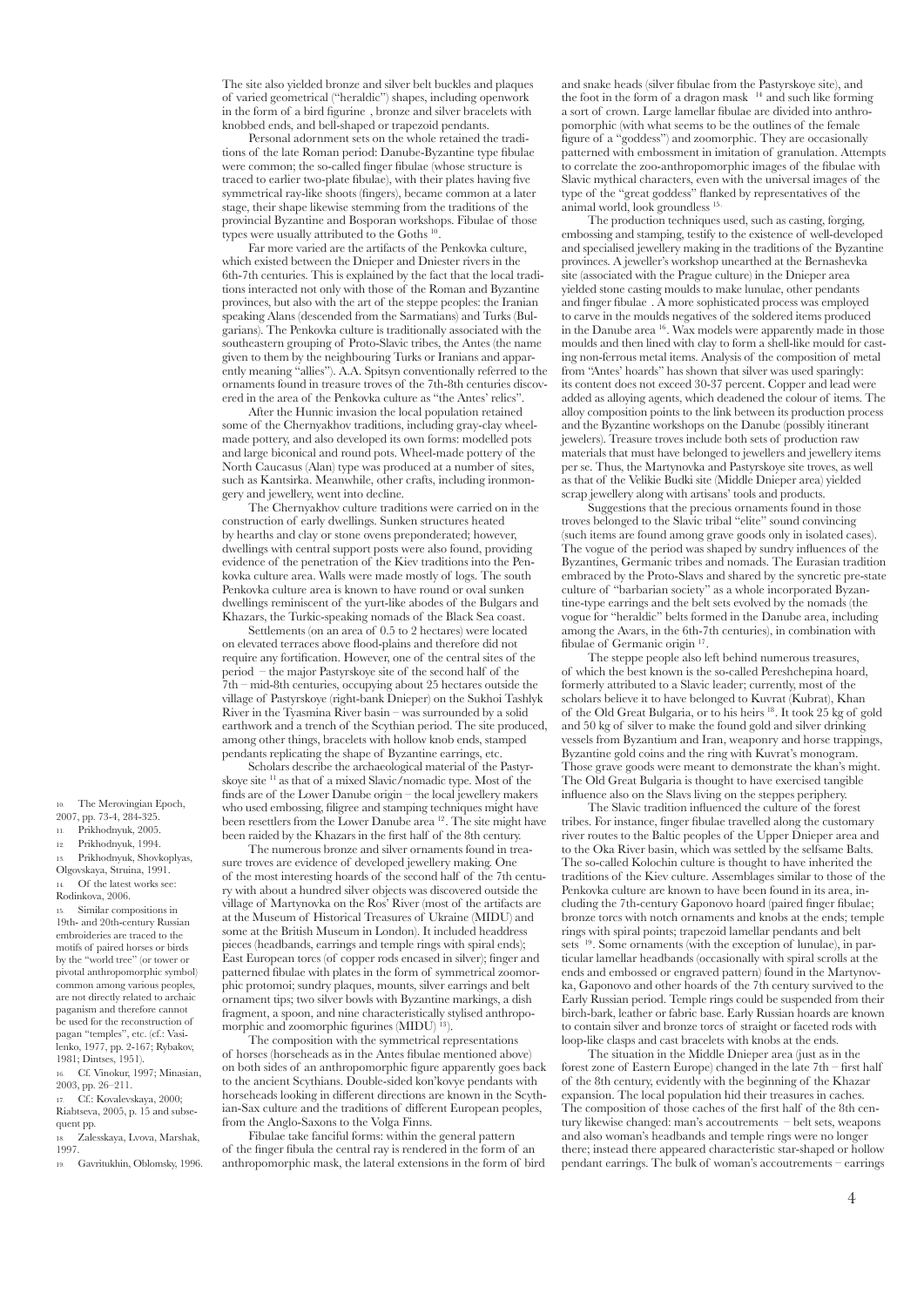The site also yielded bronze and silver belt buckles and plaques of varied geometrical ("heraldic") shapes, including openwork in the form of a bird figurine , bronze and silver bracelets with knobbed ends, and bell-shaped or trapezoid pendants.

Personal adornment sets on the whole retained the traditions of the late Roman period: Danube-Byzantine type fibulae were common; the so-called finger fibulae (whose structure is traced to earlier two-plate fibulae), with their plates having five symmetrical ray-like shoots (fingers), became common at a later stage, their shape likewise stemming from the traditions of the provincial Byzantine and Bosporan workshops. Fibulae of those types were usually attributed to the Goths<sup>10</sup>

Far more varied are the artifacts of the Penkovka culture, which existed between the Dnieper and Dniester rivers in the 6th-7th centuries. This is explained by the fact that the local traditions interacted not only with those of the Roman and Byzantine provinces, but also with the art of the steppe peoples: the Iranian speaking Alans (descended from the Sarmatians) and Turks (Bulgarians). The Penkovka culture is traditionally associated with the southeastern grouping of Proto-Slavic tribes, the Antes (the name given to them by the neighbouring Turks or Iranians and apparently meaning "allies"). A.A. Spitsyn conventionally referred to the ornaments found in treasure troves of the 7th-8th centuries discovered in the area of the Penkovka culture as "the Antes' relics".

After the Hunnic invasion the local population retained some of the Chernyakhov traditions, including gray-clay wheelmade pottery, and also developed its own forms: modelled pots and large biconical and round pots. Wheel-made pottery of the North Caucasus (Alan) type was produced at a number of sites, such as Kantsirka. Meanwhile, other crafts, including ironmongery and jewellery, went into decline.

The Chernyakhov culture traditions were carried on in the construction of early dwellings. Sunken structures heated by hearths and clay or stone ovens preponderated; however, dwellings with central support posts were also found, providing evidence of the penetration of the Kiev traditions into the Penkovka culture area. Walls were made mostly of logs. The south Penkovka culture area is known to have round or oval sunken dwellings reminiscent of the yurt-like abodes of the Bulgars and Khazars, the Turkic-speaking nomads of the Black Sea coast.

Settlements (on an area of 0.5 to 2 hectares) were located on elevated terraces above flood-plains and therefore did not require any fortification. However, one of the central sites of the period – the major Pastyrskoye site of the second half of the 7th – mid-8th centuries, occupying about 25 hectares outside the village of Pastyrskoye (right-bank Dnieper) on the Sukhoi Tashlyk River in the Tyasmina River basin – was surrounded by a solid earthwork and a trench of the Scythian period. The site produced, among other things, bracelets with hollow knob ends, stamped pendants replicating the shape of Byzantine earrings, etc.

Scholars describe the archaeological material of the Pastyrskoye site 11 as that of a mixed Slavic/nomadic type. Most of the finds are of the Lower Danube origin – the local jewellery makers who used embossing, filigree and stamping techniques might have been resettlers from the Lower Danube area 12. The site might have been raided by the Khazars in the first half of the 8th century.

The numerous bronze and silver ornaments found in treasure troves are evidence of developed jewellery making. One of the most interesting hoards of the second half of the 7th century with about a hundred silver objects was discovered outside the village of Martynovka on the Ros' River (most of the artifacts are at the Museum of Historical Treasures of Ukraine (MIDU) and some at the British Museum in London). It included headdress pieces (headbands, earrings and temple rings with spiral ends); East European torcs (of copper rods encased in silver); finger and patterned fibulae with plates in the form of symmetrical zoomorphic protomoi; sundry plaques, mounts, silver earrings and belt ornament tips; two silver bowls with Byzantine markings, a dish fragment, a spoon, and nine characteristically stylised anthropomorphic and zoomorphic figurines (MIDU)<sup>13</sup>).

The composition with the symmetrical representations of horses (horseheads as in the Antes fibulae mentioned above) on both sides of an anthropomorphic figure apparently goes back to the ancient Scythians. Double-sided kon'kovye pendants with horseheads looking in different directions are known in the Scythian-Sax culture and the traditions of different European peoples, from the Anglo-Saxons to the Volga Finns.

Fibulae take fanciful forms: within the general pattern of the finger fibula the central ray is rendered in the form of an anthropomorphic mask, the lateral extensions in the form of bird and snake heads (silver fibulae from the Pastyrskoye site), and the foot in the form of a dragon mask  $14$  and such like forming a sort of crown. Large lamellar fibulae are divided into anthropomorphic (with what seems to be the outlines of the female figure of a "goddess") and zoomorphic. They are occasionally patterned with embossment in imitation of granulation. Attempts to correlate the zoo-anthropomorphic images of the fibulae with Slavic mythical characters, even with the universal images of the type of the "great goddess" flanked by representatives of the animal world, look groundless 15.

The production techniques used, such as casting, forging, embossing and stamping, testify to the existence of well-developed and specialised jewellery making in the traditions of the Byzantine provinces. A jeweller's workshop unearthed at the Bernashevka site (associated with the Prague culture) in the Dnieper area yielded stone casting moulds to make lunulae, other pendants and finger fibulae . A more sophisticated process was employed to carve in the moulds negatives of the soldered items produced in the Danube area 16. Wax models were apparently made in those moulds and then lined with clay to form a shell-like mould for casting non-ferrous metal items. Analysis of the composition of metal from "Antes' hoards" has shown that silver was used sparingly: its content does not exceed 30-37 percent. Copper and lead were added as alloying agents, which deadened the colour of items. The alloy composition points to the link between its production process and the Byzantine workshops on the Danube (possibly itinerant jewelers). Treasure troves include both sets of production raw materials that must have belonged to jewellers and jewellery items per se. Thus, the Martynovka and Pastyrskoye site troves, as well as that of the Velikie Budki site (Middle Dnieper area) yielded scrap jewellery along with artisans' tools and products.

Suggestions that the precious ornaments found in those troves belonged to the Slavic tribal "elite" sound convincing (such items are found among grave goods only in isolated cases). The vogue of the period was shaped by sundry influences of the Byzantines, Germanic tribes and nomads. The Eurasian tradition embraced by the Proto-Slavs and shared by the syncretic pre-state culture of "barbarian society" as a whole incorporated Byzantine-type earrings and the belt sets evolved by the nomads (the vogue for "heraldic" belts formed in the Danube area, including among the Avars, in the 6th-7th centuries), in combination with fibulae of Germanic origin 17.

The steppe people also left behind numerous treasures, of which the best known is the so-called Pereshchepina hoard, formerly attributed to a Slavic leader; currently, most of the scholars believe it to have belonged to Kuvrat (Kubrat), Khan of the Old Great Bulgaria, or to his heirs 18. It took 25 kg of gold and 50 kg of silver to make the found gold and silver drinking vessels from Byzantium and Iran, weaponry and horse trappings, Byzantine gold coins and the ring with Kuvrat's monogram. Those grave goods were meant to demonstrate the khan's might. The Old Great Bulgaria is thought to have exercised tangible influence also on the Slavs living on the steppes periphery.

The Slavic tradition influenced the culture of the forest tribes. For instance, finger fibulae travelled along the customary river routes to the Baltic peoples of the Upper Dnieper area and to the Oka River basin, which was settled by the selfsame Balts. The so-called Kolochin culture is thought to have inherited the traditions of the Kiev culture. Assemblages similar to those of the Penkovka culture are known to have been found in its area, including the 7th-century Gaponovo hoard (paired finger fibulae; bronze torcs with notch ornaments and knobs at the ends; temple rings with spiral points; trapezoid lamellar pendants and belt sets <sup>19</sup>. Some ornaments (with the exception of lunulae), in particular lamellar headbands (occasionally with spiral scrolls at the ends and embossed or engraved pattern) found in the Martynovka, Gaponovo and other hoards of the 7th century survived to the Early Russian period. Temple rings could be suspended from their birch-bark, leather or fabric base. Early Russian hoards are known to contain silver and bronze torcs of straight or faceted rods with loop-like clasps and cast bracelets with knobs at the ends.

The situation in the Middle Dnieper area (just as in the forest zone of Eastern Europe) changed in the late 7th – first half of the 8th century, evidently with the beginning of the Khazar expansion. The local population hid their treasures in caches. The composition of those caches of the first half of the 8th century likewise changed: man's accoutrements – belt sets, weapons and also woman's headbands and temple rings were no longer there; instead there appeared characteristic star-shaped or hollow pendant earrings. The bulk of woman's accoutrements – earrings

The Merovingian Epoch, 2007, pp. 73-4, 284-325.

11. Prikhodnyuk, 2005.

12. Prikhodnyuk, 1994. 13. Prikhodnyuk, Shovkoplyas,

Olgovskaya, Struina, 1991.

Of the latest works see: Rodinkova, 2006.

15. Similar compositions in 19th- and 20th-century Russian embroideries are traced to the motifs of paired horses or birds by the "world tree" (or tower or pivotal anthropomorphic symbol) common among various peoples, are not directly related to archaic paganism and therefore cannot be used for the reconstruction of pagan "temples", etc. (cf.: Vasilenko, 1977, pp. 2-167; Rybakov, 1981; Dintses, 1951).

16. Cf. Vinokur, 1997; Minasian, 2003, pp. 26–211. 17. Cf.: Kovalevskaya, 2000;

Riabtseva, 2005, p. 15 and subsequent pp.

18. Zalesskaya, Lvova, Marshak, 1997.

19. Gavritukhin, Oblomsky, 1996.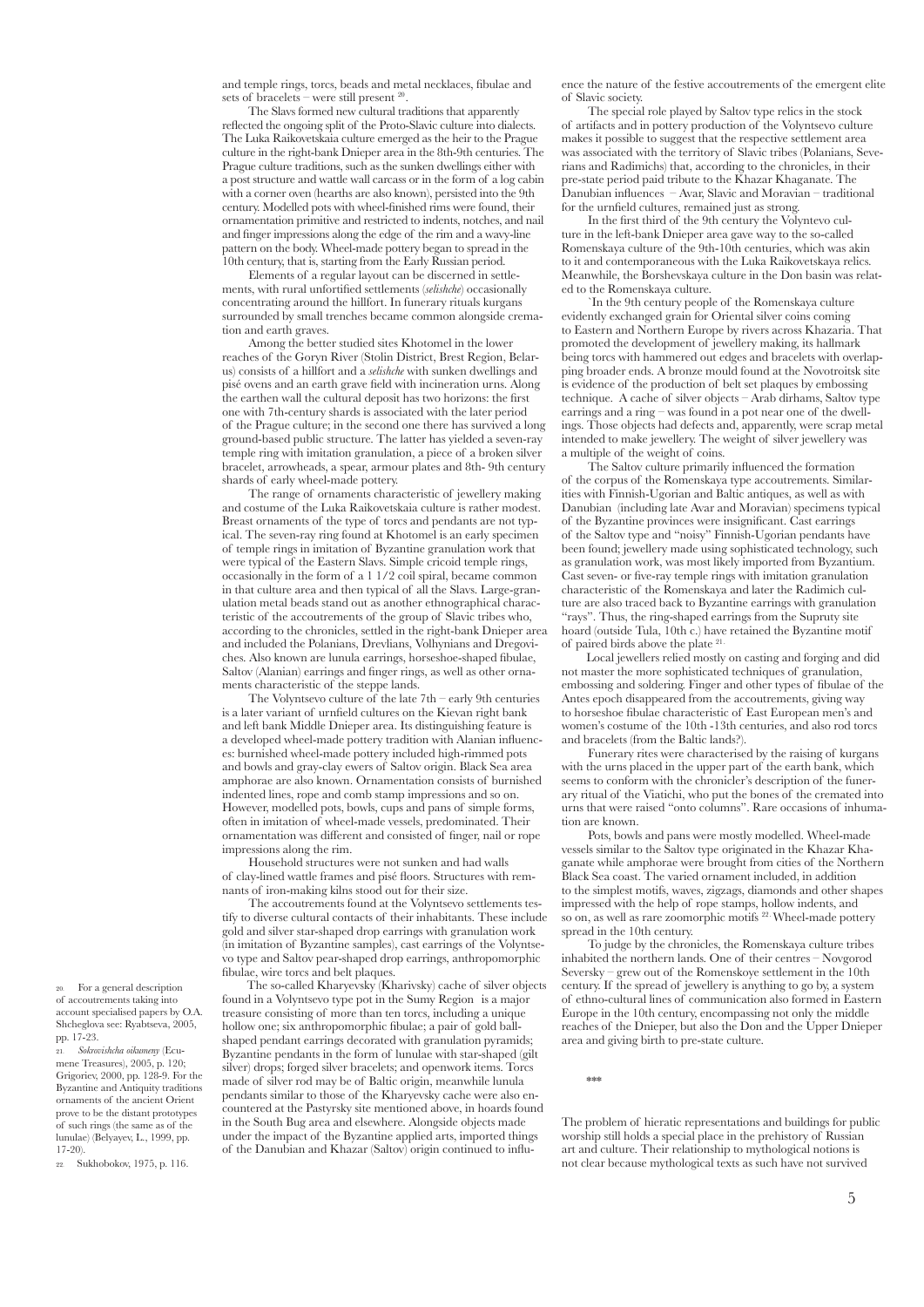and temple rings, torcs, beads and metal necklaces, fibulae and sets of bracelets – were still present  $20$ 

The Slavs formed new cultural traditions that apparently reflected the ongoing split of the Proto-Slavic culture into dialects. The Luka Raikovetskaia culture emerged as the heir to the Prague culture in the right-bank Dnieper area in the 8th-9th centuries. The Prague culture traditions, such as the sunken dwellings either with a post structure and wattle wall carcass or in the form of a log cabin with a corner oven (hearths are also known), persisted into the 9th century. Modelled pots with wheel-finished rims were found, their ornamentation primitive and restricted to indents, notches, and nail and finger impressions along the edge of the rim and a wavy-line pattern on the body. Wheel-made pottery began to spread in the 10th century, that is, starting from the Early Russian period.

Elements of a regular layout can be discerned in settlements, with rural unfortified settlements (*selishche*) occasionally concentrating around the hillfort. In funerary rituals kurgans surrounded by small trenches became common alongside cremation and earth graves.

Among the better studied sites Khotomel in the lower reaches of the Goryn River (Stolin District, Brest Region, Belarus) consists of a hillfort and a *selishche* with sunken dwellings and pisé ovens and an earth grave field with incineration urns. Along the earthen wall the cultural deposit has two horizons: the first one with 7th-century shards is associated with the later period of the Prague culture; in the second one there has survived a long ground-based public structure. The latter has yielded a seven-ray temple ring with imitation granulation, a piece of a broken silver bracelet, arrowheads, a spear, armour plates and 8th- 9th century shards of early wheel-made pottery.

The range of ornaments characteristic of jewellery making and costume of the Luka Raikovetskaia culture is rather modest. Breast ornaments of the type of torcs and pendants are not typical. The seven-ray ring found at Khotomel is an early specimen of temple rings in imitation of Byzantine granulation work that were typical of the Eastern Slavs. Simple cricoid temple rings, occasionally in the form of a 1 1/2 coil spiral, became common in that culture area and then typical of all the Slavs. Large-granulation metal beads stand out as another ethnographical characteristic of the accoutrements of the group of Slavic tribes who, according to the chronicles, settled in the right-bank Dnieper area and included the Polanians, Drevlians, Volhynians and Dregoviches. Also known are lunula earrings, horseshoe-shaped fibulae, Saltov (Alanian) earrings and finger rings, as well as other ornaments characteristic of the steppe lands.

The Volyntsevo culture of the late 7th – early 9th centuries is a later variant of urnfield cultures on the Kievan right bank and left bank Middle Dnieper area. Its distinguishing feature is a developed wheel-made pottery tradition with Alanian influences: burnished wheel-made pottery included high-rimmed pots and bowls and gray-clay ewers of Saltov origin. Black Sea area amphorae are also known. Ornamentation consists of burnished indented lines, rope and comb stamp impressions and so on. However, modelled pots, bowls, cups and pans of simple forms, often in imitation of wheel-made vessels, predominated. Their ornamentation was different and consisted of finger, nail or rope impressions along the rim.

Household structures were not sunken and had walls of clay-lined wattle frames and pisé floors. Structures with remnants of iron-making kilns stood out for their size.

The accoutrements found at the Volyntsevo settlements testify to diverse cultural contacts of their inhabitants. These include gold and silver star-shaped drop earrings with granulation work (in imitation of Byzantine samples), cast earrings of the Volyntsevo type and Saltov pear-shaped drop earrings, anthropomorphic fibulae, wire torcs and belt plaques.

The so-called Kharyevsky (Kharivsky) cache of silver objects found in a Volyntsevo type pot in the Sumy Region is a major treasure consisting of more than ten torcs, including a unique hollow one; six anthropomorphic fibulae; a pair of gold ballshaped pendant earrings decorated with granulation pyramids; Byzantine pendants in the form of lunulae with star-shaped (gilt silver) drops; forged silver bracelets; and openwork items. Torcs made of silver rod may be of Baltic origin, meanwhile lunula pendants similar to those of the Kharyevsky cache were also encountered at the Pastyrsky site mentioned above, in hoards found in the South Bug area and elsewhere. Alongside objects made under the impact of the Byzantine applied arts, imported things of the Danubian and Khazar (Saltov) origin continued to influence the nature of the festive accoutrements of the emergent elite of Slavic society.

The special role played by Saltov type relics in the stock of artifacts and in pottery production of the Volyntsevo culture makes it possible to suggest that the respective settlement area was associated with the territory of Slavic tribes (Polanians, Severians and Radimichs) that, according to the chronicles, in their pre-state period paid tribute to the Khazar Khaganate. The Danubian influences – Avar, Slavic and Moravian – traditional for the urnfield cultures, remained just as strong.

In the first third of the 9th century the Volyntevo culture in the left-bank Dnieper area gave way to the so-called Romenskaya culture of the 9th-10th centuries, which was akin to it and contemporaneous with the Luka Raikovetskaya relics. Meanwhile, the Borshevskaya culture in the Don basin was related to the Romenskaya culture.

`In the 9th century people of the Romenskaya culture evidently exchanged grain for Oriental silver coins coming to Eastern and Northern Europe by rivers across Khazaria. That promoted the development of jewellery making, its hallmark being torcs with hammered out edges and bracelets with overlapping broader ends. A bronze mould found at the Novotroitsk site is evidence of the production of belt set plaques by embossing technique. A cache of silver objects – Arab dirhams, Saltov type earrings and a ring – was found in a pot near one of the dwellings. Those objects had defects and, apparently, were scrap metal intended to make jewellery. The weight of silver jewellery was a multiple of the weight of coins.

The Saltov culture primarily influenced the formation of the corpus of the Romenskaya type accoutrements. Similarities with Finnish-Ugorian and Baltic antiques, as well as with Danubian (including late Avar and Moravian) specimens typical of the Byzantine provinces were insignificant. Cast earrings of the Saltov type and "noisy" Finnish-Ugorian pendants have been found; jewellery made using sophisticated technology, such as granulation work, was most likely imported from Byzantium. Cast seven- or five-ray temple rings with imitation granulation characteristic of the Romenskaya and later the Radimich culture are also traced back to Byzantine earrings with granulation "rays". Thus, the ring-shaped earrings from the Supruty site hoard (outside Tula, 10th c.) have retained the Byzantine motif of paired birds above the plate 21.

Local jewellers relied mostly on casting and forging and did not master the more sophisticated techniques of granulation, embossing and soldering. Finger and other types of fibulae of the Antes epoch disappeared from the accoutrements, giving way to horseshoe fibulae characteristic of East European men's and women's costume of the 10th -13th centuries, and also rod torcs and bracelets (from the Baltic lands?).

Funerary rites were characterised by the raising of kurgans with the urns placed in the upper part of the earth bank, which seems to conform with the chronicler's description of the funerary ritual of the Viatichi, who put the bones of the cremated into urns that were raised "onto columns". Rare occasions of inhumation are known.

Pots, bowls and pans were mostly modelled. Wheel-made vessels similar to the Saltov type originated in the Khazar Khaganate while amphorae were brought from cities of the Northern Black Sea coast. The varied ornament included, in addition to the simplest motifs, waves, zigzags, diamonds and other shapes impressed with the help of rope stamps, hollow indents, and so on, as well as rare zoomorphic motifs 22. Wheel-made pottery spread in the 10th century.

To judge by the chronicles, the Romenskaya culture tribes inhabited the northern lands. One of their centres – Novgorod Seversky – grew out of the Romenskoye settlement in the 10th century. If the spread of jewellery is anything to go by, a system of ethno-cultural lines of communication also formed in Eastern Europe in the 10th century, encompassing not only the middle reaches of the Dnieper, but also the Don and the Upper Dnieper area and giving birth to pre-state culture.

\*\*\*

The problem of hieratic representations and buildings for public worship still holds a special place in the prehistory of Russian art and culture. Their relationship to mythological notions is not clear because mythological texts as such have not survived

20. For a general description of accoutrements taking into account specialised papers by O.A. Shcheglova see: Ryabtseva, 2005, pp. 17-23.

21. *Sokrovishcha oikumeny* (Ecumene Treasures), 2005, p. 120; Grigoriev, 2000, pp. 128-9. For the Byzantine and Antiquity traditions ornaments of the ancient Orient prove to be the distant prototypes of such rings (the same as of the lunulae) (Belyayev, L., 1999, pp. 17-20).

22. Sukhobokov, 1975, p. 116.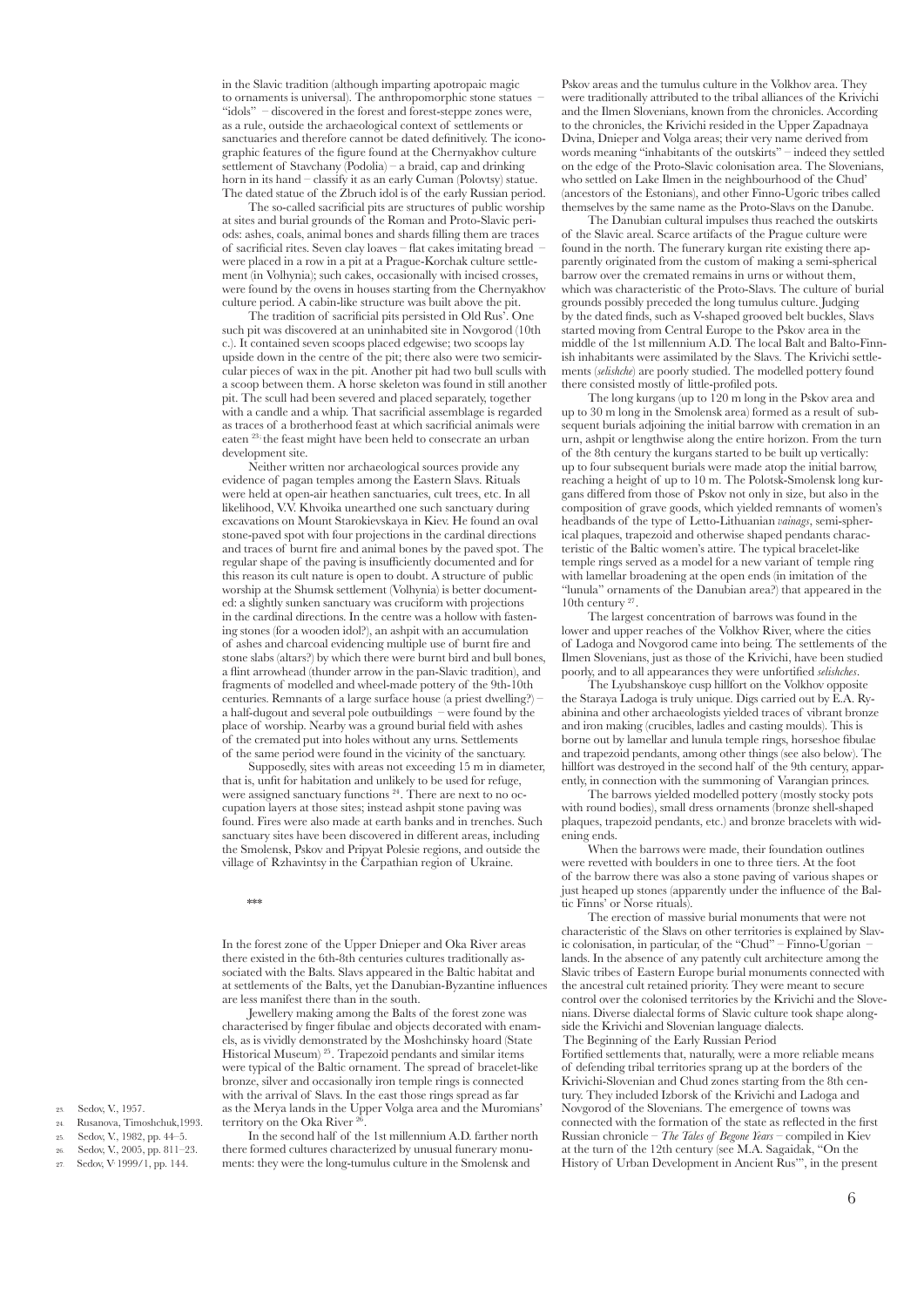in the Slavic tradition (although imparting apotropaic magic to ornaments is universal). The anthropomorphic stone statues – "idols" – discovered in the forest and forest-steppe zones were, as a rule, outside the archaeological context of settlements or sanctuaries and therefore cannot be dated definitively. The iconographic features of the figure found at the Chernyakhov culture settlement of Stavchany (Podolia) – a braid, cap and drinking horn in its hand – classify it as an early Cuman (Polovtsy) statue. The dated statue of the Zbruch idol is of the early Russian period.

The so-called sacrificial pits are structures of public worship at sites and burial grounds of the Roman and Proto-Slavic periods: ashes, coals, animal bones and shards filling them are traces of sacrificial rites. Seven clay loaves – flat cakes imitating bread – were placed in a row in a pit at a Prague-Korchak culture settlement (in Volhynia); such cakes, occasionally with incised crosses, were found by the ovens in houses starting from the Chernyakhov culture period. A cabin-like structure was built above the pit.

The tradition of sacrificial pits persisted in Old Rus'. One such pit was discovered at an uninhabited site in Novgorod (10th c.). It contained seven scoops placed edgewise; two scoops lay upside down in the centre of the pit; there also were two semicircular pieces of wax in the pit. Another pit had two bull sculls with a scoop between them. A horse skeleton was found in still another pit. The scull had been severed and placed separately, together with a candle and a whip. That sacrificial assemblage is regarded as traces of a brotherhood feast at which sacrificial animals were eaten 23; the feast might have been held to consecrate an urban development site.

Neither written nor archaeological sources provide any evidence of pagan temples among the Eastern Slavs. Rituals were held at open-air heathen sanctuaries, cult trees, etc. In all likelihood, V.V. Khvoika unearthed one such sanctuary during excavations on Mount Starokievskaya in Kiev. He found an oval stone-paved spot with four projections in the cardinal directions and traces of burnt fire and animal bones by the paved spot. The regular shape of the paving is insufficiently documented and for this reason its cult nature is open to doubt. A structure of public worship at the Shumsk settlement (Volhynia) is better documented: a slightly sunken sanctuary was cruciform with projections in the cardinal directions. In the centre was a hollow with fastening stones (for a wooden idol?), an ashpit with an accumulation of ashes and charcoal evidencing multiple use of burnt fire and stone slabs (altars?) by which there were burnt bird and bull bones, a flint arrowhead (thunder arrow in the pan-Slavic tradition), and fragments of modelled and wheel-made pottery of the 9th-10th centuries. Remnants of a large surface house (a priest dwelling?) – a half-dugout and several pole outbuildings – were found by the place of worship. Nearby was a ground burial field with ashes of the cremated put into holes without any urns. Settlements of the same period were found in the vicinity of the sanctuary.

Supposedly, sites with areas not exceeding 15 m in diameter, that is, unfit for habitation and unlikely to be used for refuge, were assigned sanctuary functions  $^{24}$ . There are next to no occupation layers at those sites; instead ashpit stone paving was found. Fires were also made at earth banks and in trenches. Such sanctuary sites have been discovered in different areas, including the Smolensk, Pskov and Pripyat Polesie regions, and outside the village of Rzhavintsy in the Carpathian region of Ukraine.

\*\*\*

In the forest zone of the Upper Dnieper and Oka River areas there existed in the 6th-8th centuries cultures traditionally associated with the Balts. Slavs appeared in the Baltic habitat and at settlements of the Balts, yet the Danubian-Byzantine influences are less manifest there than in the south.

Jewellery making among the Balts of the forest zone was characterised by finger fibulae and objects decorated with enamels, as is vividly demonstrated by the Moshchinsky hoard (State Historical Museum) 25. Trapezoid pendants and similar items were typical of the Baltic ornament. The spread of bracelet-like bronze, silver and occasionally iron temple rings is connected with the arrival of Slavs. In the east those rings spread as far as the Merya lands in the Upper Volga area and the Muromians' territory on the Oka River<sup>2</sup>

In the second half of the 1st millennium A.D. farther north there formed cultures characterized by unusual funerary monuments: they were the long-tumulus culture in the Smolensk and

Pskov areas and the tumulus culture in the Volkhov area. They were traditionally attributed to the tribal alliances of the Krivichi and the Ilmen Slovenians, known from the chronicles. According to the chronicles, the Krivichi resided in the Upper Zapadnaya Dvina, Dnieper and Volga areas; their very name derived from words meaning "inhabitants of the outskirts" – indeed they settled on the edge of the Proto-Slavic colonisation area. The Slovenians, who settled on Lake Ilmen in the neighbourhood of the Chud' (ancestors of the Estonians), and other Finno-Ugoric tribes called themselves by the same name as the Proto-Slavs on the Danube.

The Danubian cultural impulses thus reached the outskirts of the Slavic areal. Scarce artifacts of the Prague culture were found in the north. The funerary kurgan rite existing there apparently originated from the custom of making a semi-spherical barrow over the cremated remains in urns or without them, which was characteristic of the Proto-Slavs. The culture of burial grounds possibly preceded the long tumulus culture. Judging by the dated finds, such as V-shaped grooved belt buckles, Slavs started moving from Central Europe to the Pskov area in the middle of the 1st millennium A.D. The local Balt and Balto-Finnish inhabitants were assimilated by the Slavs. The Krivichi settlements (*selishche*) are poorly studied. The modelled pottery found there consisted mostly of little-profiled pots.

The long kurgans (up to 120 m long in the Pskov area and up to 30 m long in the Smolensk area) formed as a result of subsequent burials adjoining the initial barrow with cremation in an urn, ashpit or lengthwise along the entire horizon. From the turn of the 8th century the kurgans started to be built up vertically: up to four subsequent burials were made atop the initial barrow, reaching a height of up to 10 m. The Polotsk-Smolensk long kurgans differed from those of Pskov not only in size, but also in the composition of grave goods, which yielded remnants of women's headbands of the type of Letto-Lithuanian *vainags*, semi-spherical plaques, trapezoid and otherwise shaped pendants characteristic of the Baltic women's attire. The typical bracelet-like temple rings served as a model for a new variant of temple ring with lamellar broadening at the open ends (in imitation of the "lunula" ornaments of the Danubian area?) that appeared in the 10th century 27.

The largest concentration of barrows was found in the lower and upper reaches of the Volkhov River, where the cities of Ladoga and Novgorod came into being. The settlements of the Ilmen Slovenians, just as those of the Krivichi, have been studied poorly, and to all appearances they were unfortified *selishches*.

The Lyubshanskoye cusp hillfort on the Volkhov opposite the Staraya Ladoga is truly unique. Digs carried out by E.A. Ryabinina and other archaeologists yielded traces of vibrant bronze and iron making (crucibles, ladles and casting moulds). This is borne out by lamellar and lunula temple rings, horseshoe fibulae and trapezoid pendants, among other things (see also below). The hillfort was destroyed in the second half of the 9th century, apparently, in connection with the summoning of Varangian princes.

The barrows yielded modelled pottery (mostly stocky pots with round bodies), small dress ornaments (bronze shell-shaped plaques, trapezoid pendants, etc.) and bronze bracelets with widening ends.

When the barrows were made, their foundation outlines were revetted with boulders in one to three tiers. At the foot of the barrow there was also a stone paving of various shapes or just heaped up stones (apparently under the influence of the Baltic Finns' or Norse rituals).

The erection of massive burial monuments that were not characteristic of the Slavs on other territories is explained by Slavic colonisation, in particular, of the "Chud" – Finno-Ugorian – lands. In the absence of any patently cult architecture among the Slavic tribes of Eastern Europe burial monuments connected with the ancestral cult retained priority. They were meant to secure control over the colonised territories by the Krivichi and the Slovenians. Diverse dialectal forms of Slavic culture took shape alongside the Krivichi and Slovenian language dialects. The Beginning of the Early Russian Period

Fortified settlements that, naturally, were a more reliable means of defending tribal territories sprang up at the borders of the Krivichi-Slovenian and Chud zones starting from the 8th century. They included Izborsk of the Krivichi and Ladoga and Novgorod of the Slovenians. The emergence of towns was connected with the formation of the state as reflected in the first Russian chronicle – *The Tales of Begone Years* – compiled in Kiev at the turn of the 12th century (see M.A. Sagaidak, "On the History of Urban Development in Ancient Rus'", in the present

23. Sedov, V., 1957.

- 24. Rusanova, Timoshchuk,1993.
- 25. Sedov, V., 1982, pp. 44–5.
- 26. Sedov, V., 2005, pp. 811–23.
- 27. Sedov, V., 1999/1, pp. 144.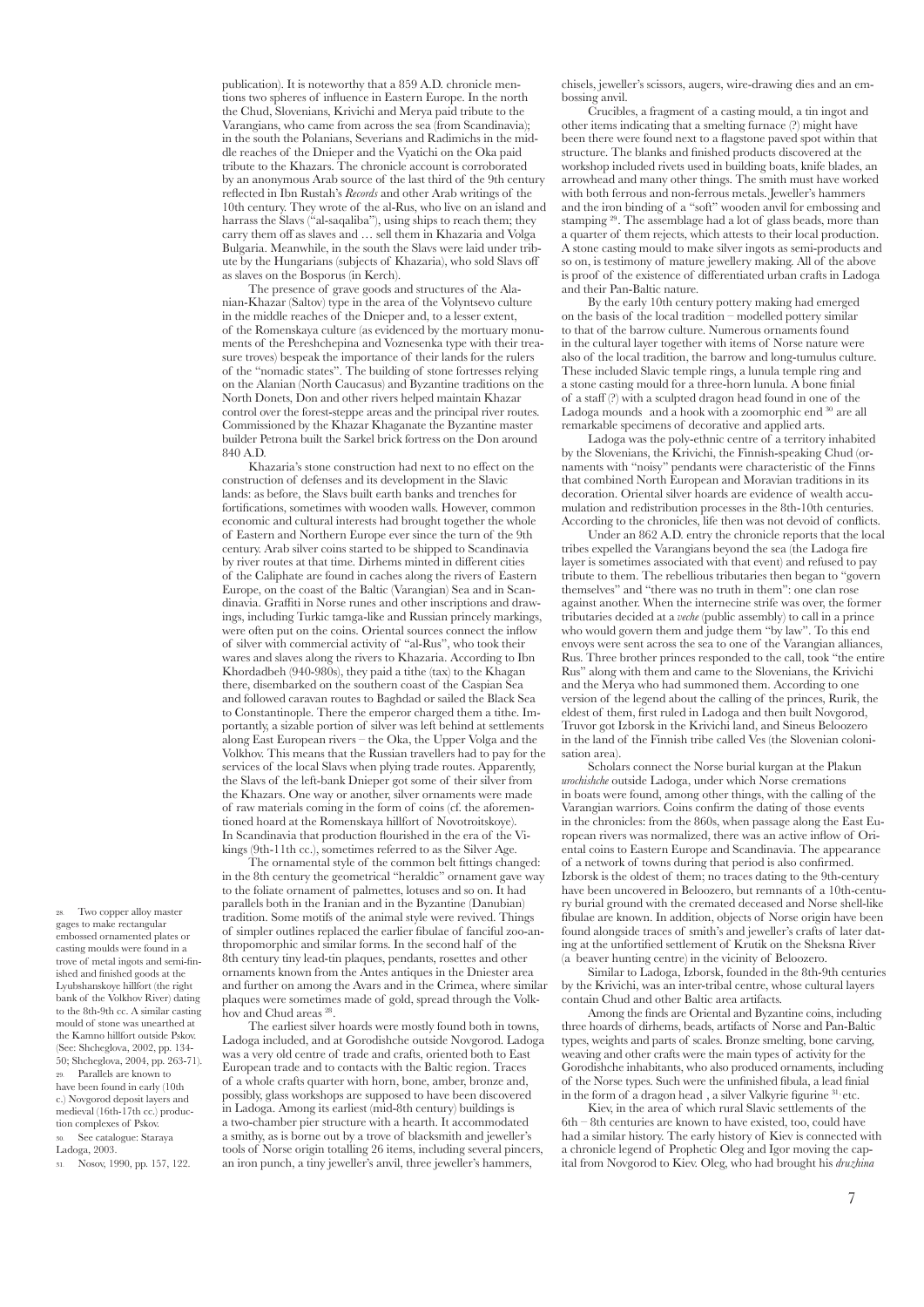publication). It is noteworthy that a 859 A.D. chronicle mentions two spheres of influence in Eastern Europe. In the north the Chud, Slovenians, Krivichi and Merya paid tribute to the Varangians, who came from across the sea (from Scandinavia); in the south the Polanians, Severians and Radimichs in the middle reaches of the Dnieper and the Vyatichi on the Oka paid tribute to the Khazars. The chronicle account is corroborated by an anonymous Arab source of the last third of the 9th century reflected in Ibn Rustah's *Records* and other Arab writings of the 10th century. They wrote of the al-Rus, who live on an island and harrass the Slavs ("al-saqaliba"), using ships to reach them; they carry them off as slaves and … sell them in Khazaria and Volga Bulgaria. Meanwhile, in the south the Slavs were laid under tribute by the Hungarians (subjects of Khazaria), who sold Slavs off as slaves on the Bosporus (in Kerch).

The presence of grave goods and structures of the Alanian-Khazar (Saltov) type in the area of the Volyntsevo culture in the middle reaches of the Dnieper and, to a lesser extent, of the Romenskaya culture (as evidenced by the mortuary monuments of the Pereshchepina and Voznesenka type with their treasure troves) bespeak the importance of their lands for the rulers of the "nomadic states". The building of stone fortresses relying on the Alanian (North Caucasus) and Byzantine traditions on the North Donets, Don and other rivers helped maintain Khazar control over the forest-steppe areas and the principal river routes. Commissioned by the Khazar Khaganate the Byzantine master builder Petrona built the Sarkel brick fortress on the Don around 840 A.D.

Khazaria's stone construction had next to no effect on the construction of defenses and its development in the Slavic lands: as before, the Slavs built earth banks and trenches for fortifications, sometimes with wooden walls. However, common economic and cultural interests had brought together the whole of Eastern and Northern Europe ever since the turn of the 9th century. Arab silver coins started to be shipped to Scandinavia by river routes at that time. Dirhems minted in different cities of the Caliphate are found in caches along the rivers of Eastern Europe, on the coast of the Baltic (Varangian) Sea and in Scandinavia. Graffiti in Norse runes and other inscriptions and drawings, including Turkic tamga-like and Russian princely markings, were often put on the coins. Oriental sources connect the inflow of silver with commercial activity of "al-Rus", who took their wares and slaves along the rivers to Khazaria. According to Ibn Khordadbeh (940-980s), they paid a tithe (tax) to the Khagan there, disembarked on the southern coast of the Caspian Sea and followed caravan routes to Baghdad or sailed the Black Sea to Constantinople. There the emperor charged them a tithe. Importantly, a sizable portion of silver was left behind at settlements along East European rivers – the Oka, the Upper Volga and the Volkhov. This means that the Russian travellers had to pay for the services of the local Slavs when plying trade routes. Apparently, the Slavs of the left-bank Dnieper got some of their silver from the Khazars. One way or another, silver ornaments were made of raw materials coming in the form of coins (cf. the aforementioned hoard at the Romenskaya hillfort of Novotroitskoye). In Scandinavia that production flourished in the era of the Vikings (9th-11th cc.), sometimes referred to as the Silver Age.

The ornamental style of the common belt fittings changed: in the 8th century the geometrical "heraldic" ornament gave way to the foliate ornament of palmettes, lotuses and so on. It had parallels both in the Iranian and in the Byzantine (Danubian) tradition. Some motifs of the animal style were revived. Things of simpler outlines replaced the earlier fibulae of fanciful zoo-anthropomorphic and similar forms. In the second half of the 8th century tiny lead-tin plaques, pendants, rosettes and other ornaments known from the Antes antiques in the Dniester area and further on among the Avars and in the Crimea, where similar plaques were sometimes made of gold, spread through the Volkhov and Chud areas  $^{28}$ 

The earliest silver hoards were mostly found both in towns, Ladoga included, and at Gorodishche outside Novgorod. Ladoga was a very old centre of trade and crafts, oriented both to East European trade and to contacts with the Baltic region. Traces of a whole crafts quarter with horn, bone, amber, bronze and, possibly, glass workshops are supposed to have been discovered in Ladoga. Among its earliest (mid-8th century) buildings is a two-chamber pier structure with a hearth. It accommodated a smithy, as is borne out by a trove of blacksmith and jeweller's tools of Norse origin totalling 26 items, including several pincers, an iron punch, a tiny jeweller's anvil, three jeweller's hammers,

chisels, jeweller's scissors, augers, wire-drawing dies and an embossing anvil.

Crucibles, a fragment of a casting mould, a tin ingot and other items indicating that a smelting furnace (?) might have been there were found next to a flagstone paved spot within that structure. The blanks and finished products discovered at the workshop included rivets used in building boats, knife blades, an arrowhead and many other things. The smith must have worked with both ferrous and non-ferrous metals. Jeweller's hammers and the iron binding of a "soft" wooden anvil for embossing and stamping 29. The assemblage had a lot of glass beads, more than a quarter of them rejects, which attests to their local production. A stone casting mould to make silver ingots as semi-products and so on, is testimony of mature jewellery making. All of the above is proof of the existence of differentiated urban crafts in Ladoga and their Pan-Baltic nature.

By the early 10th century pottery making had emerged on the basis of the local tradition – modelled pottery similar to that of the barrow culture. Numerous ornaments found in the cultural layer together with items of Norse nature were also of the local tradition, the barrow and long-tumulus culture. These included Slavic temple rings, a lunula temple ring and a stone casting mould for a three-horn lunula. A bone finial of a staff (?) with a sculpted dragon head found in one of the Ladoga mounds and a hook with a zoomorphic end 30 are all remarkable specimens of decorative and applied arts.

Ladoga was the poly-ethnic centre of a territory inhabited by the Slovenians, the Krivichi, the Finnish-speaking Chud (ornaments with "noisy" pendants were characteristic of the Finns that combined North European and Moravian traditions in its decoration. Oriental silver hoards are evidence of wealth accumulation and redistribution processes in the 8th-10th centuries. According to the chronicles, life then was not devoid of conflicts.

Under an 862 A.D. entry the chronicle reports that the local tribes expelled the Varangians beyond the sea (the Ladoga fire layer is sometimes associated with that event) and refused to pay tribute to them. The rebellious tributaries then began to "govern themselves" and "there was no truth in them": one clan rose against another. When the internecine strife was over, the former tributaries decided at a *veche* (public assembly) to call in a prince who would govern them and judge them "by law". To this end envoys were sent across the sea to one of the Varangian alliances, Rus. Three brother princes responded to the call, took "the entire Rus" along with them and came to the Slovenians, the Krivichi and the Merya who had summoned them. According to one version of the legend about the calling of the princes, Rurik, the eldest of them, first ruled in Ladoga and then built Novgorod, Truvor got Izborsk in the Krivichi land, and Sineus Beloozero in the land of the Finnish tribe called Ves (the Slovenian colonisation area).

Scholars connect the Norse burial kurgan at the Plakun *urochishche* outside Ladoga, under which Norse cremations in boats were found, among other things, with the calling of the Varangian warriors. Coins confirm the dating of those events in the chronicles: from the 860s, when passage along the East European rivers was normalized, there was an active inflow of Oriental coins to Eastern Europe and Scandinavia. The appearance of a network of towns during that period is also confirmed. Izborsk is the oldest of them; no traces dating to the 9th-century have been uncovered in Beloozero, but remnants of a 10th-century burial ground with the cremated deceased and Norse shell-like fibulae are known. In addition, objects of Norse origin have been found alongside traces of smith's and jeweller's crafts of later dating at the unfortified settlement of Krutik on the Sheksna River (a beaver hunting centre) in the vicinity of Beloozero.

Similar to Ladoga, Izborsk, founded in the 8th-9th centuries by the Krivichi, was an inter-tribal centre, whose cultural layers contain Chud and other Baltic area artifacts.

Among the finds are Oriental and Byzantine coins, including three hoards of dirhems, beads, artifacts of Norse and Pan-Baltic types, weights and parts of scales. Bronze smelting, bone carving, weaving and other crafts were the main types of activity for the Gorodishche inhabitants, who also produced ornaments, including of the Norse types. Such were the unfinished fibula, a lead finial in the form of a dragon head, a silver Valkyrie figurine  $31$ , etc.

Kiev, in the area of which rural Slavic settlements of the 6th – 8th centuries are known to have existed, too, could have had a similar history. The early history of Kiev is connected with a chronicle legend of Prophetic Oleg and Igor moving the capital from Novgorod to Kiev. Oleg, who had brought his *druzhina*

28. Two copper alloy master gages to make rectangular embossed ornamented plates or casting moulds were found in a trove of metal ingots and semi-finished and finished goods at the Lyubshanskoye hillfort (the right bank of the Volkhov River) dating to the 8th-9th cc. A similar casting mould of stone was unearthed at the Kamno hillfort outside Pskov. (See: Shcheglova, 2002, pp. 134- 50; Shcheglova, 2004, pp. 263-71). Parallels are known to have been found in early (10th c.) Novgorod deposit layers and medieval (16th-17th cc.) production complexes of Pskov. See catalogue: Staraya Ladoga, 2003.

31. Nosov, 1990, pp. 157, 122.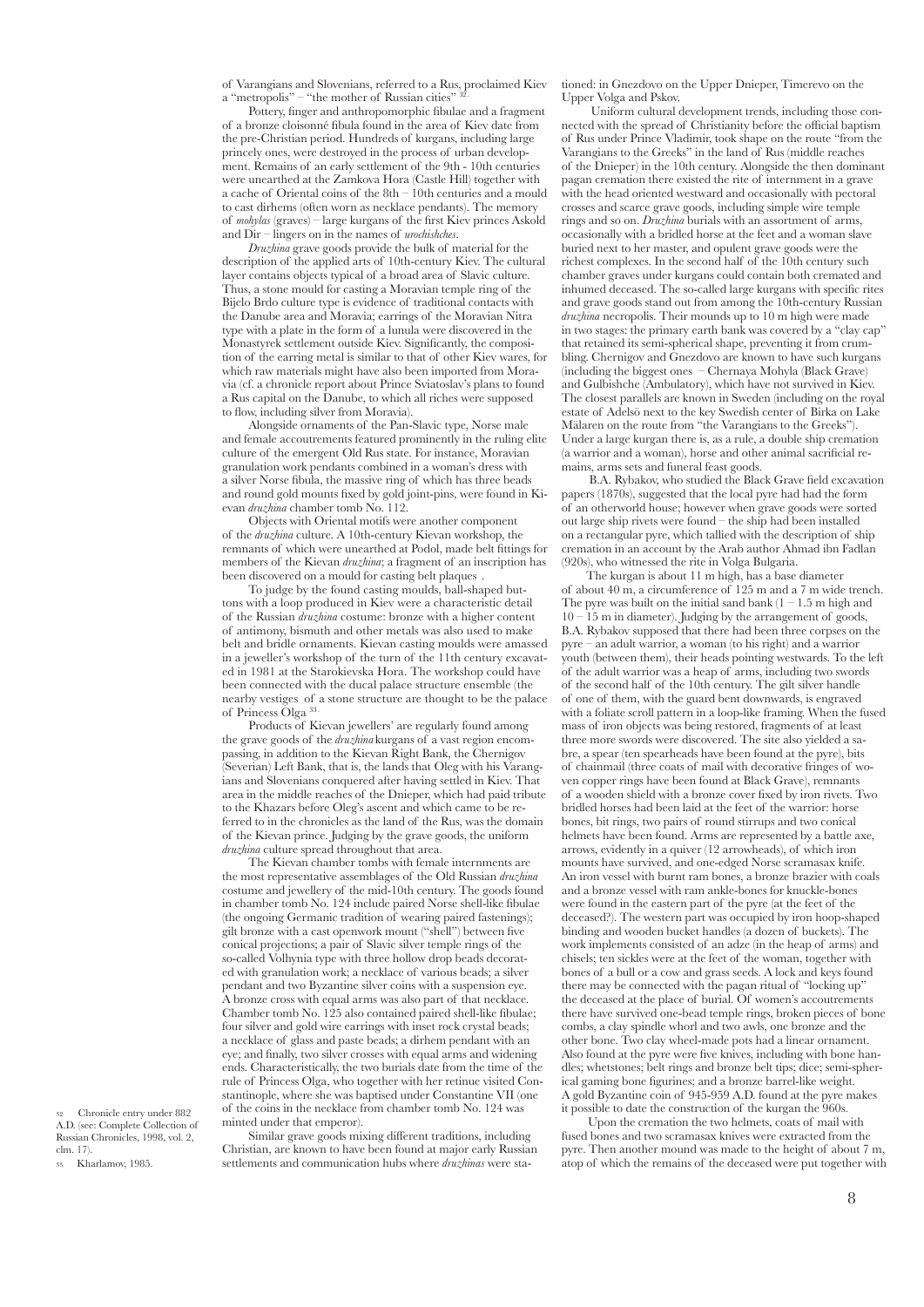of Varangians and Slovenians, referred to a Rus, proclaimed Kiev a "metropolis" – "the mother of Russian cities"

Pottery, finger and anthropomorphic fibulae and a fragment of a bronze cloisonné fibula found in the area of Kiev date from the pre-Christian period. Hundreds of kurgans, including large princely ones, were destroyed in the process of urban development. Remains of an early settlement of the 9th - 10th centuries were unearthed at the Zamkova Hora (Castle Hill) together with a cache of Oriental coins of the 8th – 10th centuries and a mould to cast dirhems (often worn as necklace pendants). The memory of *mohylas* (graves) – large kurgans of the first Kiev princes Askold and Dir – lingers on in the names of *urochishches*.

*Druzhina* grave goods provide the bulk of material for the description of the applied arts of 10th-century Kiev. The cultural layer contains objects typical of a broad area of Slavic culture. Thus, a stone mould for casting a Moravian temple ring of the Bijelo Brdo culture type is evidence of traditional contacts with the Danube area and Moravia; earrings of the Moravian Nitra type with a plate in the form of a lunula were discovered in the Monastyrek settlement outside Kiev. Significantly, the composition of the earring metal is similar to that of other Kiev wares, for which raw materials might have also been imported from Moravia (cf. a chronicle report about Prince Sviatoslav's plans to found a Rus capital on the Danube, to which all riches were supposed to flow, including silver from Moravia).

Alongside ornaments of the Pan-Slavic type, Norse male and female accoutrements featured prominently in the ruling elite culture of the emergent Old Rus state. For instance, Moravian granulation work pendants combined in a woman's dress with a silver Norse fibula, the massive ring of which has three beads and round gold mounts fixed by gold joint-pins, were found in Kievan *druzhina* chamber tomb No. 112.

Objects with Oriental motifs were another component of the *druzhina* culture. A 10th-century Kievan workshop, the remnants of which were unearthed at Podol, made belt fittings for members of the Kievan *druzhina*; a fragment of an inscription has been discovered on a mould for casting belt plaques .

To judge by the found casting moulds, ball-shaped buttons with a loop produced in Kiev were a characteristic detail of the Russian *druzhina* costume: bronze with a higher content of antimony, bismuth and other metals was also used to make belt and bridle ornaments. Kievan casting moulds were amassed in a jeweller's workshop of the turn of the 11th century excavated in 1981 at the Starokievska Hora. The workshop could have been connected with the ducal palace structure ensemble (the nearby vestiges of a stone structure are thought to be the palace of Princess Olga<sup>33</sup>

Products of Kievan jewellers' are regularly found among the grave goods of the *druzhina* kurgans of a vast region encompassing, in addition to the Kievan Right Bank, the Chernigov (Severian) Left Bank, that is, the lands that Oleg with his Varangians and Slovenians conquered after having settled in Kiev. That area in the middle reaches of the Dnieper, which had paid tribute to the Khazars before Oleg's ascent and which came to be referred to in the chronicles as the land of the Rus, was the domain of the Kievan prince. Judging by the grave goods, the uniform *druzhina* culture spread throughout that area.

The Kievan chamber tombs with female internments are the most representative assemblages of the Old Russian *druzhina* costume and jewellery of the mid-10th century. The goods found in chamber tomb No. 124 include paired Norse shell-like fibulae (the ongoing Germanic tradition of wearing paired fastenings); gilt bronze with a cast openwork mount ("shell") between five conical projections; a pair of Slavic silver temple rings of the so-called Volhynia type with three hollow drop beads decorated with granulation work; a necklace of various beads; a silver pendant and two Byzantine silver coins with a suspension eye. A bronze cross with equal arms was also part of that necklace. Chamber tomb No. 125 also contained paired shell-like fibulae; four silver and gold wire earrings with inset rock crystal beads; a necklace of glass and paste beads; a dirhem pendant with an eye; and finally, two silver crosses with equal arms and widening ends. Characteristically, the two burials date from the time of the rule of Princess Olga, who together with her retinue visited Constantinople, where she was baptised under Constantine VII (one of the coins in the necklace from chamber tomb No. 124 was minted under that emperor).

32. Chronicle entry under 882 A.D. (see: Complete Collection of Russian Chronicles, 1998, vol. 2, clm. 17).

33. Kharlamov, 1985.

Similar grave goods mixing different traditions, including Christian, are known to have been found at major early Russian settlements and communication hubs where *druzhinas* were stationed: in Gnezdovo on the Upper Dnieper, Timerevo on the Upper Volga and Pskov.

 Uniform cultural development trends, including those connected with the spread of Christianity before the official baptism of Rus under Prince Vladimir, took shape on the route "from the Varangians to the Greeks" in the land of Rus (middle reaches of the Dnieper) in the 10th century. Alongside the then dominant pagan cremation there existed the rite of internment in a grave with the head oriented westward and occasionally with pectoral crosses and scarce grave goods, including simple wire temple rings and so on. *Druzhina* burials with an assortment of arms, occasionally with a bridled horse at the feet and a woman slave buried next to her master, and opulent grave goods were the richest complexes. In the second half of the 10th century such chamber graves under kurgans could contain both cremated and inhumed deceased. The so-called large kurgans with specific rites and grave goods stand out from among the 10th-century Russian *druzhina* necropolis. Their mounds up to 10 m high were made in two stages: the primary earth bank was covered by a "clay cap" that retained its semi-spherical shape, preventing it from crumbling. Chernigov and Gnezdovo are known to have such kurgans (including the biggest ones – Chernaya Mohyla (Black Grave) and Gulbishche (Ambulatory), which have not survived in Kiev. The closest parallels are known in Sweden (including on the royal estate of Adelsö next to the key Swedish center of Birka on Lake Mälaren on the route from "the Varangians to the Greeks"). Under a large kurgan there is, as a rule, a double ship cremation (a warrior and a woman), horse and other animal sacrificial remains, arms sets and funeral feast goods.

 B.A. Rybakov, who studied the Black Grave field excavation papers (1870s), suggested that the local pyre had had the form of an otherworld house; however when grave goods were sorted out large ship rivets were found – the ship had been installed on a rectangular pyre, which tallied with the description of ship cremation in an account by the Arab author Ahmad ibn Fadlan (920s), who witnessed the rite in Volga Bulgaria.

The kurgan is about 11 m high, has a base diameter of about 40 m, a circumference of 125 m and a 7 m wide trench. The pyre was built on the initial sand bank  $(1 - 1.5 \text{ m} \text{ high and})$  $10 - 15$  m in diameter). Judging by the arrangement of goods, B.A. Rybakov supposed that there had been three corpses on the pyre – an adult warrior, a woman (to his right) and a warrior youth (between them), their heads pointing westwards. To the left of the adult warrior was a heap of arms, including two swords of the second half of the 10th century. The gilt silver handle of one of them, with the guard bent downwards, is engraved with a foliate scroll pattern in a loop-like framing. When the fused mass of iron objects was being restored, fragments of at least three more swords were discovered. The site also yielded a sabre, a spear (ten spearheads have been found at the pyre), bits of chainmail (three coats of mail with decorative fringes of woven copper rings have been found at Black Grave), remnants of a wooden shield with a bronze cover fixed by iron rivets. Two bridled horses had been laid at the feet of the warrior: horse bones, bit rings, two pairs of round stirrups and two conical helmets have been found. Arms are represented by a battle axe, arrows, evidently in a quiver (12 arrowheads), of which iron mounts have survived, and one-edged Norse scramasax knife. An iron vessel with burnt ram bones, a bronze brazier with coals and a bronze vessel with ram ankle-bones for knuckle-bones were found in the eastern part of the pyre (at the feet of the deceased?). The western part was occupied by iron hoop-shaped binding and wooden bucket handles (a dozen of buckets). The work implements consisted of an adze (in the heap of arms) and chisels; ten sickles were at the feet of the woman, together with bones of a bull or a cow and grass seeds. A lock and keys found there may be connected with the pagan ritual of "locking up" the deceased at the place of burial. Of women's accoutrements there have survived one-bead temple rings, broken pieces of bone combs, a clay spindle whorl and two awls, one bronze and the other bone. Two clay wheel-made pots had a linear ornament. Also found at the pyre were five knives, including with bone handles; whetstones; belt rings and bronze belt tips; dice; semi-spherical gaming bone figurines; and a bronze barrel-like weight. A gold Byzantine coin of 945-959 A.D. found at the pyre makes it possible to date the construction of the kurgan the 960s.

Upon the cremation the two helmets, coats of mail with fused bones and two scramasax knives were extracted from the pyre. Then another mound was made to the height of about 7 m, atop of which the remains of the deceased were put together with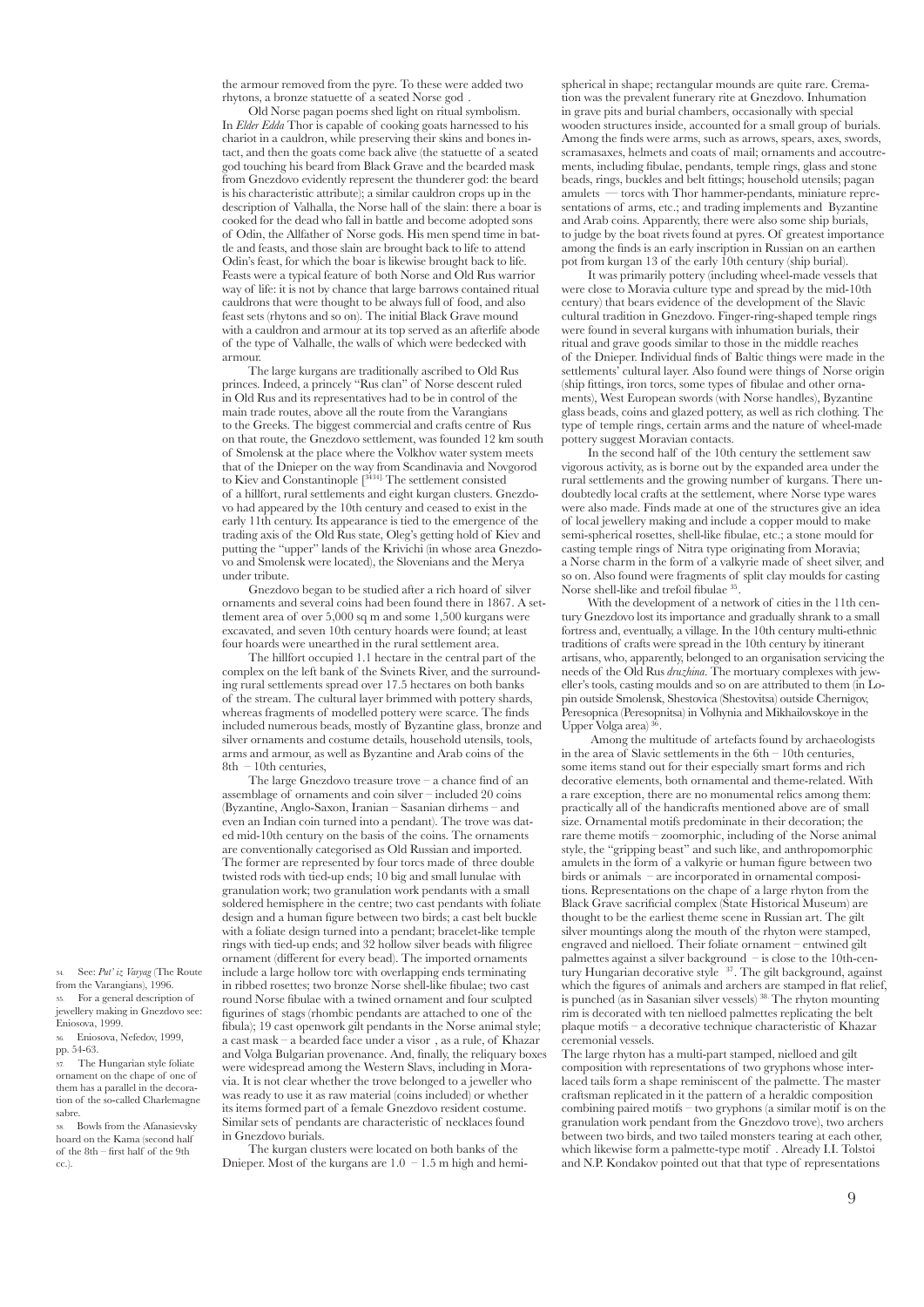the armour removed from the pyre. To these were added two rhytons, a bronze statuette of a seated Norse god .

Old Norse pagan poems shed light on ritual symbolism. In *Elder Edda* Thor is capable of cooking goats harnessed to his chariot in a cauldron, while preserving their skins and bones intact, and then the goats come back alive (the statuette of a seated god touching his beard from Black Grave and the bearded mask from Gnezdovo evidently represent the thunderer god: the beard is his characteristic attribute); a similar cauldron crops up in the description of Valhalla, the Norse hall of the slain: there a boar is cooked for the dead who fall in battle and become adopted sons of Odin, the Allfather of Norse gods. His men spend time in battle and feasts, and those slain are brought back to life to attend Odin's feast, for which the boar is likewise brought back to life. Feasts were a typical feature of both Norse and Old Rus warrior way of life: it is not by chance that large barrows contained ritual cauldrons that were thought to be always full of food, and also feast sets (rhytons and so on). The initial Black Grave mound with a cauldron and armour at its top served as an afterlife abode of the type of Valhalle, the walls of which were bedecked with armour.

The large kurgans are traditionally ascribed to Old Rus princes. Indeed, a princely "Rus clan" of Norse descent ruled in Old Rus and its representatives had to be in control of the main trade routes, above all the route from the Varangians to the Greeks. The biggest commercial and crafts centre of Rus on that route, the Gnezdovo settlement, was founded 12 km south of Smolensk at the place where the Volkhov water system meets that of the Dnieper on the way from Scandinavia and Novgorod to Kiev and Constantinople [3434]. The settlement consisted of a hillfort, rural settlements and eight kurgan clusters. Gnezdovo had appeared by the 10th century and ceased to exist in the early 11th century. Its appearance is tied to the emergence of the trading axis of the Old Rus state, Oleg's getting hold of Kiev and putting the "upper" lands of the Krivichi (in whose area Gnezdovo and Smolensk were located), the Slovenians and the Merya under tribute.

Gnezdovo began to be studied after a rich hoard of silver ornaments and several coins had been found there in 1867. A settlement area of over 5,000 sq m and some 1,500 kurgans were excavated, and seven 10th century hoards were found; at least four hoards were unearthed in the rural settlement area.

The hillfort occupied 1.1 hectare in the central part of the complex on the left bank of the Svinets River, and the surrounding rural settlements spread over 17.5 hectares on both banks of the stream. The cultural layer brimmed with pottery shards, whereas fragments of modelled pottery were scarce. The finds included numerous beads, mostly of Byzantine glass, bronze and silver ornaments and costume details, household utensils, tools, arms and armour, as well as Byzantine and Arab coins of the 8th – 10th centuries,

The large Gnezdovo treasure trove – a chance find of an assemblage of ornaments and coin silver – included 20 coins (Byzantine, Anglo-Saxon, Iranian – Sasanian dirhems – and even an Indian coin turned into a pendant). The trove was dated mid-10th century on the basis of the coins. The ornaments are conventionally categorised as Old Russian and imported. The former are represented by four torcs made of three double twisted rods with tied-up ends; 10 big and small lunulae with granulation work; two granulation work pendants with a small soldered hemisphere in the centre; two cast pendants with foliate design and a human figure between two birds; a cast belt buckle with a foliate design turned into a pendant; bracelet-like temple rings with tied-up ends; and 32 hollow silver beads with filigree ornament (different for every bead). The imported ornaments include a large hollow torc with overlapping ends terminating in ribbed rosettes; two bronze Norse shell-like fibulae; two cast round Norse fibulae with a twined ornament and four sculpted figurines of stags (rhombic pendants are attached to one of the fibula); 19 cast openwork gilt pendants in the Norse animal style; a cast mask – a bearded face under a visor , as a rule, of Khazar and Volga Bulgarian provenance. And, finally, the reliquary boxes were widespread among the Western Slavs, including in Moravia. It is not clear whether the trove belonged to a jeweller who was ready to use it as raw material (coins included) or whether its items formed part of a female Gnezdovo resident costume. Similar sets of pendants are characteristic of necklaces found in Gnezdovo burials.

The kurgan clusters were located on both banks of the Dnieper. Most of the kurgans are  $1.0 - 1.5$  m high and hemispherical in shape; rectangular mounds are quite rare. Cremation was the prevalent funerary rite at Gnezdovo. Inhumation in grave pits and burial chambers, occasionally with special wooden structures inside, accounted for a small group of burials. Among the finds were arms, such as arrows, spears, axes, swords, scramasaxes, helmets and coats of mail; ornaments and accoutrements, including fibulae, pendants, temple rings, glass and stone beads, rings, buckles and belt fittings; household utensils; pagan amulets — torcs with Thor hammer-pendants, miniature representations of arms, etc.; and trading implements and Byzantine and Arab coins. Apparently, there were also some ship burials, to judge by the boat rivets found at pyres. Of greatest importance among the finds is an early inscription in Russian on an earthen pot from kurgan 13 of the early 10th century (ship burial).

It was primarily pottery (including wheel-made vessels that were close to Moravia culture type and spread by the mid-10th century) that bears evidence of the development of the Slavic cultural tradition in Gnezdovo. Finger-ring-shaped temple rings were found in several kurgans with inhumation burials, their ritual and grave goods similar to those in the middle reaches of the Dnieper. Individual finds of Baltic things were made in the settlements' cultural layer. Also found were things of Norse origin (ship fittings, iron torcs, some types of fibulae and other ornaments), West European swords (with Norse handles), Byzantine glass beads, coins and glazed pottery, as well as rich clothing. The type of temple rings, certain arms and the nature of wheel-made pottery suggest Moravian contacts.

In the second half of the 10th century the settlement saw vigorous activity, as is borne out by the expanded area under the rural settlements and the growing number of kurgans. There undoubtedly local crafts at the settlement, where Norse type wares were also made. Finds made at one of the structures give an idea of local jewellery making and include a copper mould to make semi-spherical rosettes, shell-like fibulae, etc.; a stone mould for casting temple rings of Nitra type originating from Moravia; a Norse charm in the form of a valkyrie made of sheet silver, and so on. Also found were fragments of split clay moulds for casting Norse shell-like and trefoil fibulae 35.

With the development of a network of cities in the 11th century Gnezdovo lost its importance and gradually shrank to a small fortress and, eventually, a village. In the 10th century multi-ethnic traditions of crafts were spread in the 10th century by itinerant artisans, who, apparently, belonged to an organisation servicing the needs of the Old Rus *druzhina*. The mortuary complexes with jeweller's tools, casting moulds and so on are attributed to them (in Lopin outside Smolensk, Shestovica (Shestovitsa) outside Chernigov, Peresopnica (Peresopnitsa) in Volhynia and Mikhailovskoye in the Upper Volga area)<sup>3</sup>

Among the multitude of artefacts found by archaeologists in the area of Slavic settlements in the  $6th - 10th$  centuries, some items stand out for their especially smart forms and rich decorative elements, both ornamental and theme-related. With a rare exception, there are no monumental relics among them: practically all of the handicrafts mentioned above are of small size. Ornamental motifs predominate in their decoration; the rare theme motifs – zoomorphic, including of the Norse animal style, the "gripping beast" and such like, and anthropomorphic amulets in the form of a valkyrie or human figure between two birds or animals – are incorporated in ornamental compositions. Representations on the chape of a large rhyton from the Black Grave sacrificial complex (State Historical Museum) are thought to be the earliest theme scene in Russian art. The gilt silver mountings along the mouth of the rhyton were stamped, engraved and nielloed. Their foliate ornament – entwined gilt palmettes against a silver background – is close to the 10th-century Hungarian decorative style  $37$ . The gilt background, against which the figures of animals and archers are stamped in flat relief is punched (as in Sasanian silver vessels) 38. The rhyton mounting rim is decorated with ten nielloed palmettes replicating the belt plaque motifs – a decorative technique characteristic of Khazar ceremonial vessels.

The large rhyton has a multi-part stamped, nielloed and gilt composition with representations of two gryphons whose interlaced tails form a shape reminiscent of the palmette. The master craftsman replicated in it the pattern of a heraldic composition combining paired motifs – two gryphons (a similar motif is on the granulation work pendant from the Gnezdovo trove), two archers between two birds, and two tailed monsters tearing at each other, which likewise form a palmette-type motif . Already I.I. Tolstoi and N.P. Kondakov pointed out that that type of representations

34. See: *Put' iz Varyag* (The Route from the Varangians), 1996. 35. For a general description of

jewellery making in Gnezdovo see: Eniosova, 1999. 36. Eniosova, Nefedov, 1999,

pp. 54-63.

The Hungarian style foliate ornament on the chape of one of them has a parallel in the decoration of the so-called Charlemagne sabre.

38. Bowls from the Afanasievsky hoard on the Kama (second half of the 8th – first half of the 9th cc.).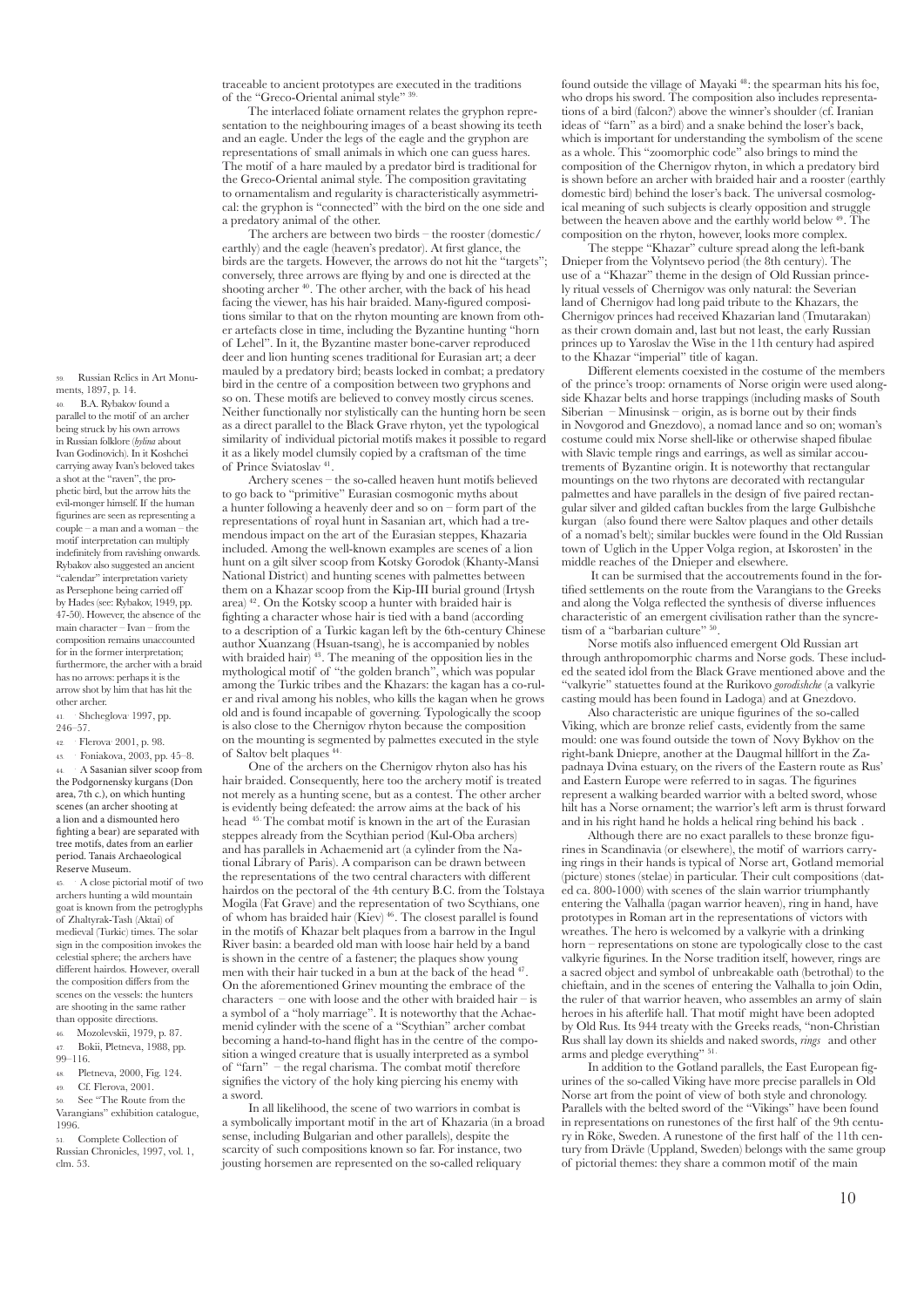traceable to ancient prototypes are executed in the traditions of the "Greco-Oriental animal style"

The interlaced foliate ornament relates the gryphon representation to the neighbouring images of a beast showing its teeth and an eagle. Under the legs of the eagle and the gryphon are representations of small animals in which one can guess hares. The motif of a hare mauled by a predator bird is traditional for the Greco-Oriental animal style. The composition gravitating to ornamentalism and regularity is characteristically asymmetrical: the gryphon is "connected" with the bird on the one side and a predatory animal of the other.

The archers are between two birds – the rooster (domestic/ earthly) and the eagle (heaven's predator). At first glance, the birds are the targets. However, the arrows do not hit the "targets"; conversely, three arrows are flying by and one is directed at the shooting archer <sup>40</sup>. The other archer, with the back of his head facing the viewer, has his hair braided. Many-figured compositions similar to that on the rhyton mounting are known from other artefacts close in time, including the Byzantine hunting "horn of Lehel". In it, the Byzantine master bone-carver reproduced deer and lion hunting scenes traditional for Eurasian art; a deer mauled by a predatory bird; beasts locked in combat; a predatory bird in the centre of a composition between two gryphons and so on. These motifs are believed to convey mostly circus scenes. Neither functionally nor stylistically can the hunting horn be seen as a direct parallel to the Black Grave rhyton, yet the typological similarity of individual pictorial motifs makes it possible to regard it as a likely model clumsily copied by a craftsman of the time of Prince Sviatoslav 41.

Archery scenes – the so-called heaven hunt motifs believed to go back to "primitive" Eurasian cosmogonic myths about a hunter following a heavenly deer and so on – form part of the representations of royal hunt in Sasanian art, which had a tremendous impact on the art of the Eurasian steppes, Khazaria included. Among the well-known examples are scenes of a lion hunt on a gilt silver scoop from Kotsky Gorodok (Khanty-Mansi National District) and hunting scenes with palmettes between them on a Khazar scoop from the Kip-III burial ground (Irtysh area) 42. On the Kotsky scoop a hunter with braided hair is fighting a character whose hair is tied with a band (according to a description of a Turkic kagan left by the 6th-century Chinese author Xuanzang (Hsuan-tsang), he is accompanied by nobles with braided hair)<sup>43</sup>. The meaning of the opposition lies in the mythological motif of "the golden branch", which was popular among the Turkic tribes and the Khazars: the kagan has a co-ruler and rival among his nobles, who kills the kagan when he grows old and is found incapable of governing. Typologically the scoop is also close to the Chernigov rhyton because the composition on the mounting is segmented by palmettes executed in the style of Saltov belt plaques<sup>44.</sup>

One of the archers on the Chernigov rhyton also has his hair braided. Consequently, here too the archery motif is treated not merely as a hunting scene, but as a contest. The other archer is evidently being defeated: the arrow aims at the back of his head <sup>45</sup>. The combat motif is known in the art of the Eurasian steppes already from the Scythian period (Kul-Oba archers) and has parallels in Achaemenid art (a cylinder from the National Library of Paris). A comparison can be drawn between the representations of the two central characters with different hairdos on the pectoral of the 4th century B.C. from the Tolstaya Mogila (Fat Grave) and the representation of two Scythians, one of whom has braided hair (Kiev) 46. The closest parallel is found in the motifs of Khazar belt plaques from a barrow in the Ingul River basin: a bearded old man with loose hair held by a band is shown in the centre of a fastener; the plaques show young men with their hair tucked in a bun at the back of the head 47. On the aforementioned Grinev mounting the embrace of the characters – one with loose and the other with braided hair – is a symbol of a "holy marriage". It is noteworthy that the Achaemenid cylinder with the scene of a "Scythian" archer combat becoming a hand-to-hand flight has in the centre of the composition a winged creature that is usually interpreted as a symbol of "farn" – the regal charisma. The combat motif therefore signifies the victory of the holy king piercing his enemy with a sword.

In all likelihood, the scene of two warriors in combat is a symbolically important motif in the art of Khazaria (in a broad sense, including Bulgarian and other parallels), despite the scarcity of such compositions known so far. For instance, two jousting horsemen are represented on the so-called reliquary

found outside the village of Mayaki 48: the spearman hits his foe, who drops his sword. The composition also includes representations of a bird (falcon?) above the winner's shoulder (cf. Iranian ideas of "farn" as a bird) and a snake behind the loser's back, which is important for understanding the symbolism of the scene as a whole. This "zoomorphic code" also brings to mind the composition of the Chernigov rhyton, in which a predatory bird is shown before an archer with braided hair and a rooster (earthly domestic bird) behind the loser's back. The universal cosmological meaning of such subjects is clearly opposition and struggle between the heaven above and the earthly world below 49. The composition on the rhyton, however, looks more complex.

The steppe "Khazar" culture spread along the left-bank Dnieper from the Volyntsevo period (the 8th century). The use of a "Khazar" theme in the design of Old Russian princely ritual vessels of Chernigov was only natural: the Severian land of Chernigov had long paid tribute to the Khazars, the Chernigov princes had received Khazarian land (Tmutarakan) as their crown domain and, last but not least, the early Russian princes up to Yaroslav the Wise in the 11th century had aspired to the Khazar "imperial" title of kagan.

Different elements coexisted in the costume of the members of the prince's troop: ornaments of Norse origin were used alongside Khazar belts and horse trappings (including masks of South Siberian – Minusinsk – origin, as is borne out by their finds in Novgorod and Gnezdovo), a nomad lance and so on; woman's costume could mix Norse shell-like or otherwise shaped fibulae with Slavic temple rings and earrings, as well as similar accoutrements of Byzantine origin. It is noteworthy that rectangular mountings on the two rhytons are decorated with rectangular palmettes and have parallels in the design of five paired rectangular silver and gilded caftan buckles from the large Gulbishche kurgan (also found there were Saltov plaques and other details of a nomad's belt); similar buckles were found in the Old Russian town of Uglich in the Upper Volga region, at Iskorosten' in the middle reaches of the Dnieper and elsewhere.

 It can be surmised that the accoutrements found in the fortified settlements on the route from the Varangians to the Greeks and along the Volga reflected the synthesis of diverse influences characteristic of an emergent civilisation rather than the syncretism of a "barbarian culture" 50.

Norse motifs also influenced emergent Old Russian art through anthropomorphic charms and Norse gods. These included the seated idol from the Black Grave mentioned above and the "valkyrie" statuettes found at the Rurikovo *gorodishche* (a valkyrie casting mould has been found in Ladoga) and at Gnezdovo.

Also characteristic are unique figurines of the so-called Viking, which are bronze relief casts, evidently from the same mould: one was found outside the town of Novy Bykhov on the right-bank Dniepre, another at the Daugmal hillfort in the Zapadnaya Dvina estuary, on the rivers of the Eastern route as Rus' and Eastern Europe were referred to in sagas. The figurines represent a walking bearded warrior with a belted sword, whose hilt has a Norse ornament; the warrior's left arm is thrust forward and in his right hand he holds a helical ring behind his back .

Although there are no exact parallels to these bronze figurines in Scandinavia (or elsewhere), the motif of warriors carrying rings in their hands is typical of Norse art, Gotland memorial (picture) stones (stelae) in particular. Their cult compositions (dated ca. 800-1000) with scenes of the slain warrior triumphantly entering the Valhalla (pagan warrior heaven), ring in hand, have prototypes in Roman art in the representations of victors with wreathes. The hero is welcomed by a valkyrie with a drinking horn – representations on stone are typologically close to the cast valkyrie figurines. In the Norse tradition itself, however, rings are a sacred object and symbol of unbreakable oath (betrothal) to the chieftain, and in the scenes of entering the Valhalla to join Odin, the ruler of that warrior heaven, who assembles an army of slain heroes in his afterlife hall. That motif might have been adopted by Old Rus. Its 944 treaty with the Greeks reads, "non-Christian Rus shall lay down its shields and naked swords, *rings* and other arms and pledge everything" 51

In addition to the Gotland parallels, the East European figurines of the so-called Viking have more precise parallels in Old Norse art from the point of view of both style and chronology. Parallels with the belted sword of the "Vikings" have been found in representations on runestones of the first half of the 9th century in Röke, Sweden. A runestone of the first half of the 11th century from Drävle (Uppland, Sweden) belongs with the same group of pictorial themes: they share a common motif of the main

39. Russian Relics in Art Monuments, 1897, p. 14. B.A. Rybakov found a

parallel to the motif of an archer being struck by his own arrows in Russian folklore (*bylina* about Ivan Godinovich). In it Koshchei carrying away Ivan's beloved takes a shot at the "raven", the prophetic bird, but the arrow hits the evil-monger himself. If the human figurines are seen as representing a couple – a man and a woman – the motif interpretation can multiply indefinitely from ravishing onwards. Rybakov also suggested an ancient "calendar" interpretation variety as Persephone being carried off by Hades (see: Rybakov, 1949, pp. 47-50). However, the absence of the main character – Ivan – from the composition remains unaccounted for in the former interpretation; furthermore, the archer with a braid has no arrows: perhaps it is the arrow shot by him that has hit the other archer.

41. . Shcheglova, 1997, pp. 246–57.

42. . Flerova, 2001, p. 98.

 $43.$  Foniakova, 2003, pp. 45–8. 44. . A Sasanian silver scoop from the Podgornensky kurgans (Don area, 7th c.), on which hunting scenes (an archer shooting at a lion and a dismounted hero fighting a bear) are separated with tree motifs, dates from an earlier period. Tanais Archaeological Reserve Museum.

45. . A close pictorial motif of two archers hunting a wild mountain goat is known from the petroglyphs of Zhaltyrak-Tash (Aktai) of medieval (Turkic) times. The solar sign in the composition invokes the celestial sphere; the archers have different hairdos. However, overall the composition differs from the scenes on the vessels: the hunters are shooting in the same rather than opposite directions.

46. Mozolevskii, 1979, p. 87. 47. Bokii, Pletneva, 1988, pp. 99–116.

48. Pletneva, 2000, Fig. 124.

49. Cf. Flerova, 2001. 50. See "The Route from the

Varangians" exhibition catalogue, 1996.

51. Complete Collection of Russian Chronicles, 1997, vol. 1, clm. 53.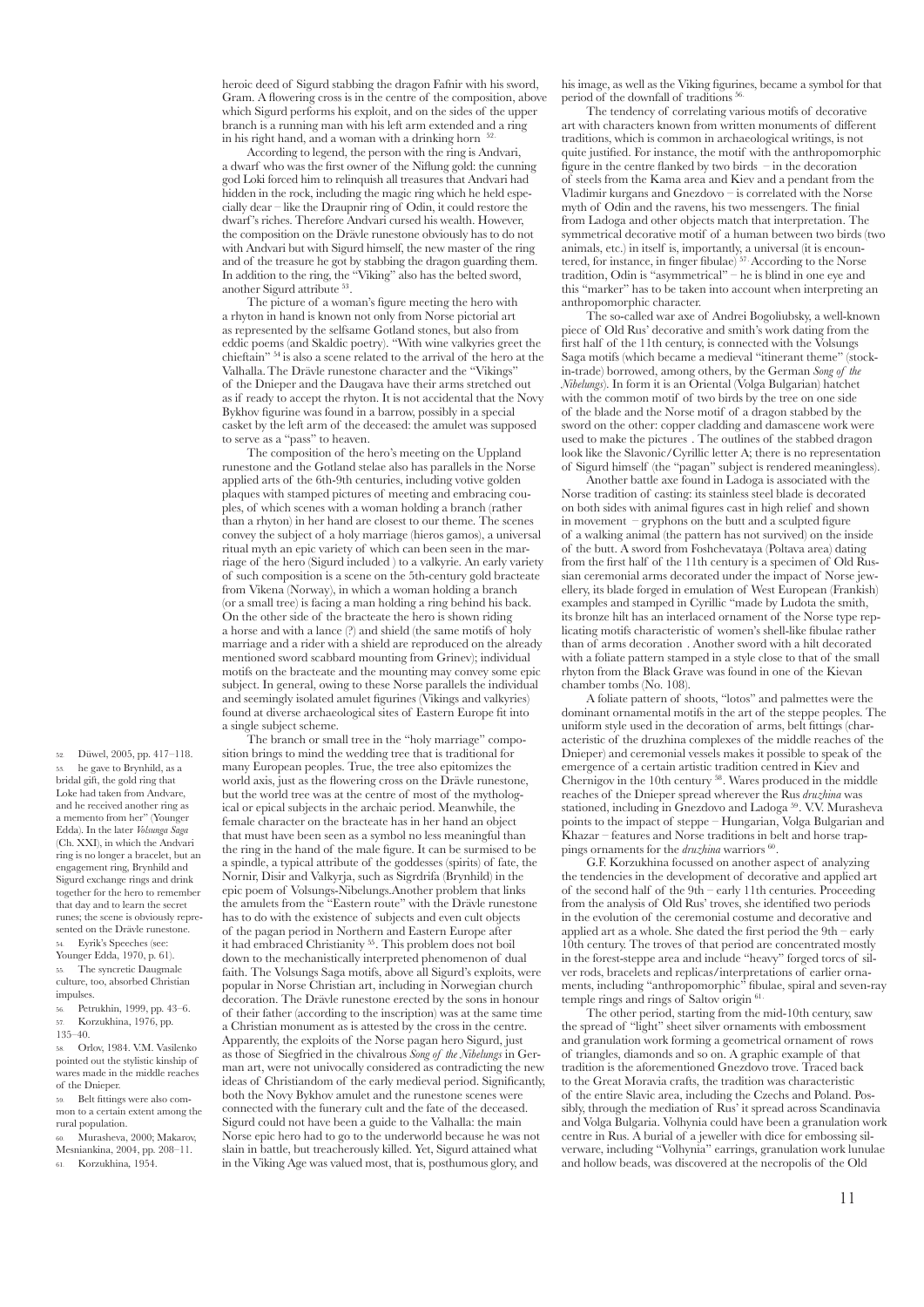heroic deed of Sigurd stabbing the dragon Fafnir with his sword, Gram. A flowering cross is in the centre of the composition, above which Sigurd performs his exploit, and on the sides of the upper branch is a running man with his left arm extended and a ring in his right hand, and a woman with a drinking horn <sup>52</sup>

According to legend, the person with the ring is Andvari, a dwarf who was the first owner of the Niflung gold: the cunning god Loki forced him to relinquish all treasures that Andvari had hidden in the rock, including the magic ring which he held especially dear – like the Draupnir ring of Odin, it could restore the dwarf 's riches. Therefore Andvari cursed his wealth. However, the composition on the Drävle runestone obviously has to do not with Andvari but with Sigurd himself, the new master of the ring and of the treasure he got by stabbing the dragon guarding them. In addition to the ring, the "Viking" also has the belted sword, another Sigurd attribute 53.

The picture of a woman's figure meeting the hero with a rhyton in hand is known not only from Norse pictorial art as represented by the selfsame Gotland stones, but also from eddic poems (and Skaldic poetry). "With wine valkyries greet the chieftain" 54 is also a scene related to the arrival of the hero at the Valhalla.The Drävle runestone character and the "Vikings" of the Dnieper and the Daugava have their arms stretched out as if ready to accept the rhyton. It is not accidental that the Novy Bykhov figurine was found in a barrow, possibly in a special casket by the left arm of the deceased: the amulet was supposed to serve as a "pass" to heaven.

The composition of the hero's meeting on the Uppland runestone and the Gotland stelae also has parallels in the Norse applied arts of the 6th-9th centuries, including votive golden plaques with stamped pictures of meeting and embracing couples, of which scenes with a woman holding a branch (rather than a rhyton) in her hand are closest to our theme. The scenes convey the subject of a holy marriage (hieros gamos), a universal ritual myth an epic variety of which can been seen in the marriage of the hero (Sigurd included ) to a valkyrie. An early variety of such composition is a scene on the 5th-century gold bracteate from Vikena (Norway), in which a woman holding a branch (or a small tree) is facing a man holding a ring behind his back. On the other side of the bracteate the hero is shown riding a horse and with a lance (?) and shield (the same motifs of holy marriage and a rider with a shield are reproduced on the already mentioned sword scabbard mounting from Grinev); individual motifs on the bracteate and the mounting may convey some epic subject. In general, owing to these Norse parallels the individual and seemingly isolated amulet figurines (Vikings and valkyries) found at diverse archaeological sites of Eastern Europe fit into a single subject scheme.

The branch or small tree in the "holy marriage" composition brings to mind the wedding tree that is traditional for many European peoples. True, the tree also epitomizes the world axis, just as the flowering cross on the Drävle runestone, but the world tree was at the centre of most of the mythological or epical subjects in the archaic period. Meanwhile, the female character on the bracteate has in her hand an object that must have been seen as a symbol no less meaningful than the ring in the hand of the male figure. It can be surmised to be a spindle, a typical attribute of the goddesses (spirits) of fate, the Nornir, Disir and Valkyrja, such as Sigrdrifa (Brynhild) in the epic poem of Volsungs-Nibelungs.Another problem that links the amulets from the "Eastern route" with the Drävle runestone has to do with the existence of subjects and even cult objects of the pagan period in Northern and Eastern Europe after it had embraced Christianity 55. This problem does not boil down to the mechanistically interpreted phenomenon of dual faith. The Volsungs Saga motifs, above all Sigurd's exploits, were popular in Norse Christian art, including in Norwegian church decoration. The Drävle runestone erected by the sons in honour of their father (according to the inscription) was at the same time a Christian monument as is attested by the cross in the centre. Apparently, the exploits of the Norse pagan hero Sigurd, just as those of Siegfried in the chivalrous *Song of the Nibelungs* in German art, were not univocally considered as contradicting the new ideas of Christiandom of the early medieval period. Significantly, both the Novy Bykhov amulet and the runestone scenes were connected with the funerary cult and the fate of the deceased. Sigurd could not have been a guide to the Valhalla: the main Norse epic hero had to go to the underworld because he was not slain in battle, but treacherously killed. Yet, Sigurd attained what in the Viking Age was valued most, that is, posthumous glory, and

his image, as well as the Viking figurines, became a symbol for that period of the downfall of traditions<sup>5</sup>

The tendency of correlating various motifs of decorative art with characters known from written monuments of different traditions, which is common in archaeological writings, is not quite justified. For instance, the motif with the anthropomorphic figure in the centre flanked by two birds – in the decoration of steels from the Kama area and Kiev and a pendant from the Vladimir kurgans and Gnezdovo – is correlated with the Norse myth of Odin and the ravens, his two messengers. The finial from Ladoga and other objects match that interpretation. The symmetrical decorative motif of a human between two birds (two animals, etc.) in itself is, importantly, a universal (it is encountered, for instance, in finger fibulae) 57. According to the Norse tradition, Odin is "asymmetrical" – he is blind in one eye and this "marker" has to be taken into account when interpreting an anthropomorphic character.

The so-called war axe of Andrei Bogoliubsky, a well-known piece of Old Rus' decorative and smith's work dating from the first half of the 11th century, is connected with the Volsungs Saga motifs (which became a medieval "itinerant theme" (stockin-trade) borrowed, among others, by the German *Song of the Nibelungs*). In form it is an Oriental (Volga Bulgarian) hatchet with the common motif of two birds by the tree on one side of the blade and the Norse motif of a dragon stabbed by the sword on the other: copper cladding and damascene work were used to make the pictures . The outlines of the stabbed dragon look like the Slavonic/Cyrillic letter A; there is no representation of Sigurd himself (the "pagan" subject is rendered meaningless).

Another battle axe found in Ladoga is associated with the Norse tradition of casting: its stainless steel blade is decorated on both sides with animal figures cast in high relief and shown in movement – gryphons on the butt and a sculpted figure of a walking animal (the pattern has not survived) on the inside of the butt. A sword from Foshchevataya (Poltava area) dating from the first half of the 11th century is a specimen of Old Russian ceremonial arms decorated under the impact of Norse jewellery, its blade forged in emulation of West European (Frankish) examples and stamped in Cyrillic "made by Ludota the smith, its bronze hilt has an interlaced ornament of the Norse type replicating motifs characteristic of women's shell-like fibulae rather than of arms decoration . Another sword with a hilt decorated with a foliate pattern stamped in a style close to that of the small rhyton from the Black Grave was found in one of the Kievan chamber tombs (No. 108).

A foliate pattern of shoots, "lotos" and palmettes were the dominant ornamental motifs in the art of the steppe peoples. The uniform style used in the decoration of arms, belt fittings (characteristic of the druzhina complexes of the middle reaches of the Dnieper) and ceremonial vessels makes it possible to speak of the emergence of a certain artistic tradition centred in Kiev and Chernigov in the 10th century 58. Wares produced in the middle reaches of the Dnieper spread wherever the Rus *druzhina* was stationed, including in Gnezdovo and Ladoga 59. V.V. Murasheva points to the impact of steppe – Hungarian, Volga Bulgarian and Khazar – features and Norse traditions in belt and horse trappings ornaments for the *druzhina* warriors<sup>60</sup>.

G.F. Korzukhina focussed on another aspect of analyzing the tendencies in the development of decorative and applied art of the second half of the  $9th$  – early 11th centuries. Proceeding from the analysis of Old Rus' troves, she identified two periods in the evolution of the ceremonial costume and decorative and applied art as a whole. She dated the first period the 9th – early 10th century. The troves of that period are concentrated mostly in the forest-steppe area and include "heavy" forged torcs of silver rods, bracelets and replicas/interpretations of earlier ornaments, including "anthropomorphic" fibulae, spiral and seven-ray temple rings and rings of Saltov origin  $^{\rm 61}$ 

The other period, starting from the mid-10th century, saw the spread of "light" sheet silver ornaments with embossment and granulation work forming a geometrical ornament of rows of triangles, diamonds and so on. A graphic example of that tradition is the aforementioned Gnezdovo trove. Traced back to the Great Moravia crafts, the tradition was characteristic of the entire Slavic area, including the Czechs and Poland. Possibly, through the mediation of Rus' it spread across Scandinavia and Volga Bulgaria. Volhynia could have been a granulation work centre in Rus. A burial of a jeweller with dice for embossing silverware, including "Volhynia" earrings, granulation work lunulae and hollow beads, was discovered at the necropolis of the Old

52. Düwel, 2005, pp. 417–118. 53. he gave to Brynhild, as a bridal gift, the gold ring that Loke had taken from Andvare, and he received another ring as a memento from her" (Younger Edda). In the later *Volsunga Saga* (Ch. XXI), in which the Andvari ring is no longer a bracelet, but an engagement ring, Brynhild and Sigurd exchange rings and drink together for the hero to remember that day and to learn the secret runes; the scene is obviously represented on the Drävle runestone. 54. Eyrik's Speeches (see:

Younger Edda, 1970, p. 61). 55. The syncretic Daugmale culture, too, absorbed Christian impulses.

56. Petrukhin, 1999, pp. 43–6. 57. Korzukhina, 1976, pp. 135–40.

58. Orlov, 1984. V.M. Vasilenko pointed out the stylistic kinship of wares made in the middle reaches of the Dnieper.

Belt fittings were also common to a certain extent among the rural population.

Murasheva, 2000; Makarov, Mesniankina, 2004, pp. 208–11.

61. Korzukhina*,* 1954.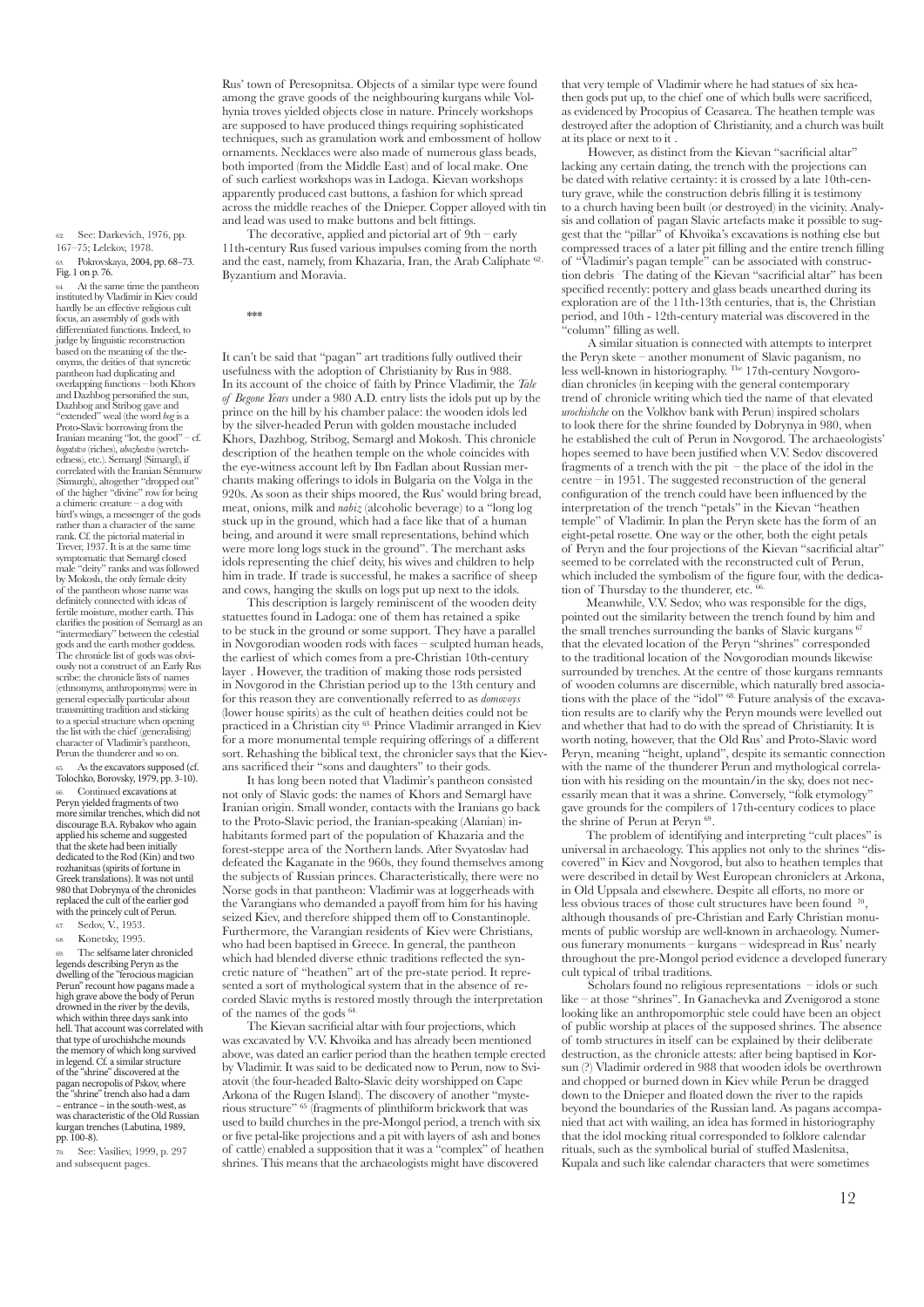See: Darkevich, 1976, pp. 167–75; Lelekov, 1978.

63. Pokrovskaya, 2004, pp. 68–73. Fig. 1 on p. 76.

At the same time the pantheon instituted by Vladimir in Kiev could hardly be an effective religious cult focus, an assembly of gods with differentiated functions. Indeed, to judge by linguistic reconstruction based on the meaning of the the-onyms, the deities of that syncretic pantheon had duplicating and overlapping functions – both Khors and Dazhbog personified the sun, Dazhbog and Stribog gave and "extended" weal (the word *bog* is a Proto-Slavic borrowing from the Iranian meaning "lot, the good" – cf.<br>*bogatstvo* (riches), *ubozhestvo* (wretchedness), etc.). Semargl (Simargl), if correlated with the Iranian Sēnmurw (Simurgh), altogether "dropped out" of the higher "divine" row for being a chimeric creature – a dog with bird's wings, a messenger of the gods rather than a character of the same rank. Cf. the pictorial material in Trever, 1937. It is at the same time symptomatic that Semargl closed male "deity" ranks and was followed by Mokosh, the only female deity of the pantheon whose name was definitely connected with ideas of fertile moisture, mother earth. This clarifies the position of Semargl as an "intermediary" between the celestial gods and the earth mother goddess. The chronicle list of gods was obviously not a construct of an Early Rus scribe: the chronicle lists of name (ethnonyms, anthroponyms) were in general especially particular about transmitting tradition and sticking to a special structure when opening the list with the chief (generalising) character of Vladimir's pantheon, Perun the thunderer and so on.

As the excavators supposed (cf. Tolochko, Borovsky, 1979, pp. 3-10). Continued excavations at

Peryn yielded fragments of two more similar trenches, which did not discourage B.A. Rybakov who again applied his scheme and suggested that the skete had been initially dedicated to the Rod (Kin) and two rozhanitsas (spirits of fortune in Greek translations). It was not until 980 that Dobrynya of the chronicles replaced the cult of the earlier god with the princely cult of Perun.

- 67. Sedov, V., 1953.
- 68. Konetsky, 1995.

The selfsame later chronicled legends describing Peryn as the dwelling of the "ferocious magician Perun" recount how pagans made a high grave above the body of Perun drowned in the river by the devils, which within three days sank into hell. That account was correlated with that type of urochishche mounds the memory of which long survived<br>in legend  $Cf$  a similar structure in legend. Cf. a similar structure of the "shrine" discovered at the pagan necropolis of Pskov, where the "shrine" trench also had a dam – entrance – in the south-west, as was characteristic of the Old Russian kurgan trenches (Labutina, 1989, pp. 100-8).

70. See: Vasiliev, 1999, p. 297 and subsequent pages.

Rus' town of Peresopnitsa. Objects of a similar type were found among the grave goods of the neighbouring kurgans while Volhynia troves yielded objects close in nature. Princely workshops are supposed to have produced things requiring sophisticated techniques, such as granulation work and embossment of hollow ornaments. Necklaces were also made of numerous glass beads, both imported (from the Middle East) and of local make. One of such earliest workshops was in Ladoga. Kievan workshops apparently produced cast buttons, a fashion for which spread across the middle reaches of the Dnieper. Copper alloyed with tin and lead was used to make buttons and belt fittings.

The decorative, applied and pictorial art of  $\frac{9}{9}$ th – early 11th-century Rus fused various impulses coming from the north and the east, namely, from Khazaria, Iran, the Arab Caliphate <sup>62,</sup> Byzantium and Moravia.

#### \*\*\*

It can't be said that "pagan" art traditions fully outlived their usefulness with the adoption of Christianity by Rus in 988. In its account of the choice of faith by Prince Vladimir, the *Tale of Begone Years* under a 980 A.D. entry lists the idols put up by the prince on the hill by his chamber palace: the wooden idols led by the silver-headed Perun with golden moustache included Khors, Dazhbog, Stribog, Semargl and Mokosh. This chronicle description of the heathen temple on the whole coincides with the eye-witness account left by Ibn Fadlan about Russian merchants making offerings to idols in Bulgaria on the Volga in the 920s. As soon as their ships moored, the Rus' would bring bread, meat, onions, milk and *nabiz* (alcoholic beverage) to a "long log stuck up in the ground, which had a face like that of a human being, and around it were small representations, behind which were more long logs stuck in the ground". The merchant asks idols representing the chief deity, his wives and children to help him in trade. If trade is successful, he makes a sacrifice of sheep and cows, hanging the skulls on logs put up next to the idols.

This description is largely reminiscent of the wooden deity statuettes found in Ladoga: one of them has retained a spike to be stuck in the ground or some support. They have a parallel in Novgorodian wooden rods with faces – sculpted human heads, the earliest of which comes from a pre-Christian 10th-century layer . However, the tradition of making those rods persisted in Novgorod in the Christian period up to the 13th century and for this reason they are conventionally referred to as *domovoys* (lower house spirits) as the cult of heathen deities could not be practiced in a Christian city 63. Prince Vladimir arranged in Kiev for a more monumental temple requiring offerings of a different sort. Rehashing the biblical text, the chronicler says that the Kievans sacrificed their "sons and daughters" to their gods.

It has long been noted that Vladimir's pantheon consisted not only of Slavic gods: the names of Khors and Semargl have Iranian origin. Small wonder, contacts with the Iranians go back to the Proto-Slavic period, the Iranian-speaking (Alanian) inhabitants formed part of the population of Khazaria and the forest-steppe area of the Northern lands. After Svyatoslav had defeated the Kaganate in the 960s, they found themselves among the subjects of Russian princes. Characteristically, there were no Norse gods in that pantheon: Vladimir was at loggerheads with the Varangians who demanded a payoff from him for his having seized Kiev, and therefore shipped them off to Constantinople. Furthermore, the Varangian residents of Kiev were Christians, who had been baptised in Greece. In general, the pantheon which had blended diverse ethnic traditions reflected the syncretic nature of "heathen" art of the pre-state period. It represented a sort of mythological system that in the absence of recorded Slavic myths is restored mostly through the interpretation of the names of the gods  $64$ 

The Kievan sacrificial altar with four projections, which was excavated by V.V. Khvoika and has already been mentioned above, was dated an earlier period than the heathen temple erected by Vladimir. It was said to be dedicated now to Perun, now to Sviatovit (the four-headed Balto-Slavic deity worshipped on Cape Arkona of the Rugen Island). The discovery of another "mysterious structure" 65 (fragments of plinthiform brickwork that was used to build churches in the pre-Mongol period, a trench with six or five petal-like projections and a pit with layers of ash and bones of cattle) enabled a supposition that it was a "complex" of heathen shrines. This means that the archaeologists might have discovered

that very temple of Vladimir where he had statues of six heathen gods put up, to the chief one of which bulls were sacrificed, as evidenced by Procopius of Ceasarea. The heathen temple was destroyed after the adoption of Christianity, and a church was built at its place or next to it .

However, as distinct from the Kievan "sacrificial altar" lacking any certain dating, the trench with the projections can be dated with relative certainty: it is crossed by a late 10th-century grave, while the construction debris filling it is testimony to a church having been built (or destroyed) in the vicinity. Analysis and collation of pagan Slavic artefacts make it possible to suggest that the "pillar" of Khvoika's excavations is nothing else but compressed traces of a later pit filling and the entire trench filling of "Vladimir's pagan temple" can be associated with construction debris . The dating of the Kievan "sacrificial altar" has been specified recently: pottery and glass beads unearthed during its exploration are of the 11th-13th centuries, that is, the Christian period, and 10th - 12th-century material was discovered in the "column" filling as well.

A similar situation is connected with attempts to interpret the Peryn skete – another monument of Slavic paganism, no less well-known in historiography. The 17th-century Novgorodian chronicles (in keeping with the general contemporary trend of chronicle writing which tied the name of that elevated *urochishche* on the Volkhov bank with Perun) inspired scholars to look there for the shrine founded by Dobrynya in 980, when he established the cult of Perun in Novgorod. The archaeologists' hopes seemed to have been justified when V.V. Sedov discovered fragments of a trench with the pit  $-$  the place of the idol in the centre – in 1951. The suggested reconstruction of the general configuration of the trench could have been influenced by the interpretation of the trench "petals" in the Kievan "heathen temple" of Vladimir. In plan the Peryn skete has the form of an eight-petal rosette. One way or the other, both the eight petals of Peryn and the four projections of the Kievan "sacrificial altar" seemed to be correlated with the reconstructed cult of Perun, which included the symbolism of the figure four, with the dedication of Thursday to the thunderer, etc.  $66$ 

Meanwhile, V.V. Sedov, who was responsible for the digs, pointed out the similarity between the trench found by him and the small trenches surrounding the banks of Slavic kurgans <sup>67</sup> that the elevated location of the Peryn "shrines" corresponded to the traditional location of the Novgorodian mounds likewise surrounded by trenches. At the centre of those kurgans remnants of wooden columns are discernible, which naturally bred associations with the place of the "idol" 68. Future analysis of the excavation results are to clarify why the Peryn mounds were levelled out and whether that had to do with the spread of Christianity. It is worth noting, however, that the Old Rus' and Proto-Slavic word Peryn, meaning "height, upland", despite its semantic connection with the name of the thunderer Perun and mythological correlation with his residing on the mountain/in the sky, does not necessarily mean that it was a shrine. Conversely, "folk etymology" gave grounds for the compilers of 17th-century codices to place the shrine of Perun at Peryn 69.

The problem of identifying and interpreting "cult places" is universal in archaeology. This applies not only to the shrines "discovered" in Kiev and Novgorod, but also to heathen temples that were described in detail by West European chroniclers at Arkona, in Old Uppsala and elsewhere. Despite all efforts, no more or less obvious traces of those cult structures have been found  $70$ , although thousands of pre-Christian and Early Christian monuments of public worship are well-known in archaeology. Numerous funerary monuments – kurgans – widespread in Rus' nearly throughout the pre-Mongol period evidence a developed funerary cult typical of tribal traditions.

Scholars found no religious representations – idols or such like – at those "shrines". In Ganachevka and Zvenigorod a stone looking like an anthropomorphic stele could have been an object of public worship at places of the supposed shrines. The absence of tomb structures in itself can be explained by their deliberate destruction, as the chronicle attests: after being baptised in Korsun (?) Vladimir ordered in 988 that wooden idols be overthrown and chopped or burned down in Kiev while Perun be dragged down to the Dnieper and floated down the river to the rapids beyond the boundaries of the Russian land. As pagans accompanied that act with wailing, an idea has formed in historiography that the idol mocking ritual corresponded to folklore calendar rituals, such as the symbolical burial of stuffed Maslenitsa, Kupala and such like calendar characters that were sometimes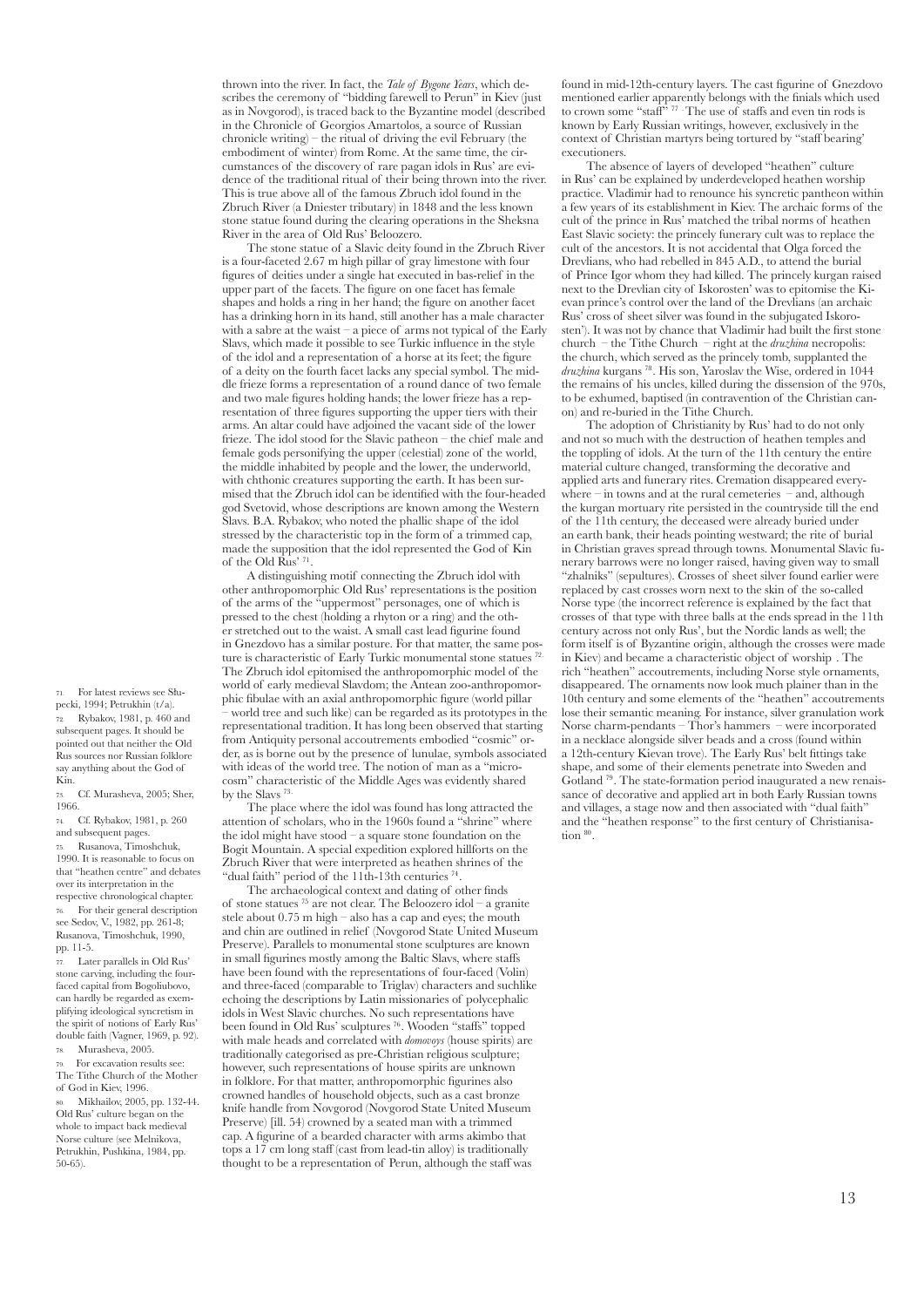thrown into the river. In fact, the *Tale of Bygone Years*, which describes the ceremony of "bidding farewell to Perun" in Kiev (just as in Novgorod), is traced back to the Byzantine model (described in the Chronicle of Georgios Amartolos, a source of Russian chronicle writing) – the ritual of driving the evil February (the embodiment of winter) from Rome. At the same time, the circumstances of the discovery of rare pagan idols in Rus' are evidence of the traditional ritual of their being thrown into the river. This is true above all of the famous Zbruch idol found in the Zbruch River (a Dniester tributary) in 1848 and the less known stone statue found during the clearing operations in the Sheksna River in the area of Old Rus' Beloozero.

The stone statue of a Slavic deity found in the Zbruch River is a four-faceted 2.67 m high pillar of gray limestone with four figures of deities under a single hat executed in bas-relief in the upper part of the facets. The figure on one facet has female shapes and holds a ring in her hand; the figure on another facet has a drinking horn in its hand, still another has a male character with a sabre at the waist – a piece of arms not typical of the Early Slavs, which made it possible to see Turkic influence in the style of the idol and a representation of a horse at its feet; the figure of a deity on the fourth facet lacks any special symbol. The middle frieze forms a representation of a round dance of two female and two male figures holding hands; the lower frieze has a representation of three figures supporting the upper tiers with their arms. An altar could have adjoined the vacant side of the lower frieze. The idol stood for the Slavic patheon – the chief male and female gods personifying the upper (celestial) zone of the world, the middle inhabited by people and the lower, the underworld, with chthonic creatures supporting the earth. It has been surmised that the Zbruch idol can be identified with the four-headed god Svetovid, whose descriptions are known among the Western Slavs. B.A. Rybakov, who noted the phallic shape of the idol stressed by the characteristic top in the form of a trimmed cap, made the supposition that the idol represented the God of Kin of the Old Rus' 71.

A distinguishing motif connecting the Zbruch idol with other anthropomorphic Old Rus' representations is the position of the arms of the "uppermost" personages, one of which is pressed to the chest (holding a rhyton or a ring) and the other stretched out to the waist. A small cast lead figurine found in Gnezdovo has a similar posture. For that matter, the same posture is characteristic of Early Turkic monumental stone statues<sup>72</sup> The Zbruch idol epitomised the anthropomorphic model of the world of early medieval Slavdom; the Antean zoo-anthropomorphic fibulae with an axial anthropomorphic figure (world pillar – world tree and such like) can be regarded as its prototypes in the representational tradition. It has long been observed that starting from Antiquity personal accoutrements embodied "cosmic" order, as is borne out by the presence of lunulae, symbols associated with ideas of the world tree. The notion of man as a "microcosm" characteristic of the Middle Ages was evidently shared by the Slavs<sup>7</sup>

The place where the idol was found has long attracted the attention of scholars, who in the 1960s found a "shrine" where the idol might have stood – a square stone foundation on the Bogit Mountain. A special expedition explored hillforts on the Zbruch River that were interpreted as heathen shrines of the "dual faith" period of the 11th-13th centuries 74.

The archaeological context and dating of other finds of stone statues 75 are not clear. The Beloozero idol – a granite stele about 0.75 m high – also has a cap and eyes; the mouth and chin are outlined in relief (Novgorod State United Museum Preserve). Parallels to monumental stone sculptures are known in small figurines mostly among the Baltic Slavs, where staffs have been found with the representations of four-faced (Volin) and three-faced (comparable to Triglav) characters and suchlike echoing the descriptions by Latin missionaries of polycephalic idols in West Slavic churches. No such representations have been found in Old Rus' sculptures 76. Wooden "staffs" topped with male heads and correlated with *domovoys* (house spirits) are traditionally categorised as pre-Christian religious sculpture; however, such representations of house spirits are unknown in folklore. For that matter, anthropomorphic figurines also crowned handles of household objects, such as a cast bronze knife handle from Novgorod (Novgorod State United Museum Preserve) [ill. 54) crowned by a seated man with a trimmed cap. A figurine of a bearded character with arms akimbo that tops a  $17 \text{ cm}$  long staff (cast from lead-tin alloy) is traditionally thought to be a representation of Perun, although the staff was

found in mid-12th-century layers. The cast figurine of Gnezdovo mentioned earlier apparently belongs with the finials which used to crown some "staff" <sup>77</sup> . The use of staffs and even tin rods is known by Early Russian writings, however, exclusively in the context of Christian martyrs being tortured by "staff bearing' executioners.

The absence of layers of developed "heathen" culture in Rus' can be explained by underdeveloped heathen worship practice. Vladimir had to renounce his syncretic pantheon within a few years of its establishment in Kiev. The archaic forms of the cult of the prince in Rus' matched the tribal norms of heathen East Slavic society: the princely funerary cult was to replace the cult of the ancestors. It is not accidental that Olga forced the Drevlians, who had rebelled in 845 A.D., to attend the burial of Prince Igor whom they had killed. The princely kurgan raised next to the Drevlian city of Iskorosten' was to epitomise the Kievan prince's control over the land of the Drevlians (an archaic Rus' cross of sheet silver was found in the subjugated Iskorosten'). It was not by chance that Vladimir had built the first stone church – the Tithe Church – right at the *druzhina* necropolis: the church, which served as the princely tomb, supplanted the *druzhina* kurgans 78. His son, Yaroslav the Wise, ordered in 1044 the remains of his uncles, killed during the dissension of the 970s, to be exhumed, baptised (in contravention of the Christian canon) and re-buried in the Tithe Church.

The adoption of Christianity by Rus' had to do not only and not so much with the destruction of heathen temples and the toppling of idols. At the turn of the 11th century the entire material culture changed, transforming the decorative and applied arts and funerary rites. Cremation disappeared everywhere  $-$  in towns and at the rural cemeteries  $-$  and, although the kurgan mortuary rite persisted in the countryside till the end of the 11th century, the deceased were already buried under an earth bank, their heads pointing westward; the rite of burial in Christian graves spread through towns. Monumental Slavic funerary barrows were no longer raised, having given way to small "zhalniks" (sepultures). Crosses of sheet silver found earlier were replaced by cast crosses worn next to the skin of the so-called Norse type (the incorrect reference is explained by the fact that crosses of that type with three balls at the ends spread in the 11th century across not only Rus', but the Nordic lands as well; the form itself is of Byzantine origin, although the crosses were made in Kiev) and became a characteristic object of worship . The rich "heathen" accoutrements, including Norse style ornaments, disappeared. The ornaments now look much plainer than in the 10th century and some elements of the "heathen" accoutrements lose their semantic meaning. For instance, silver granulation work Norse charm-pendants – Thor's hammers – were incorporated in a necklace alongside silver beads and a cross (found within a 12th-century Kievan trove). The Early Rus' belt fittings take shape, and some of their elements penetrate into Sweden and Gotland<sup>79</sup>. The state-formation period inaugurated a new renaissance of decorative and applied art in both Early Russian towns and villages, a stage now and then associated with "dual faith" and the "heathen response" to the first century of Christianisation  $80$ .

71. For latest reviews see Słupecki, 1994; Petrukhin (t/a). Rybakov, 1981, p. 460 and subsequent pages. It should be pointed out that neither the Old Rus sources nor Russian folklore say anything about the God of Kin.

Cf. Murasheva, 2005; Sher, 1966.

74. Cf. Rybakov, 1981, p. 260 and subsequent pages.

75. Rusanova, Timoshchuk, 1990. It is reasonable to focus on that "heathen centre" and debates over its interpretation in the respective chronological chapter. 76. For their general description see Sedov, V., 1982, pp. 261-8; Rusanova, Timoshchuk, 1990,

pp. 11-5. 77. Later parallels in Old Rus' stone carving, including the fourfaced capital from Bogoliubovo. can hardly be regarded as exemplifying ideological syncretism in the spirit of notions of Early Rus' double faith (Vagner, 1969, p. 92). Murasheva, 2005.

For excavation results see: The Tithe Church of the Mother of God in Kiev, 1996.

Mikhailov, 2005, pp. 132-44. Old Rus' culture began on the whole to impact back medieval Norse culture (see Melnikova, Petrukhin, Pushkina, 1984, pp. 50-65).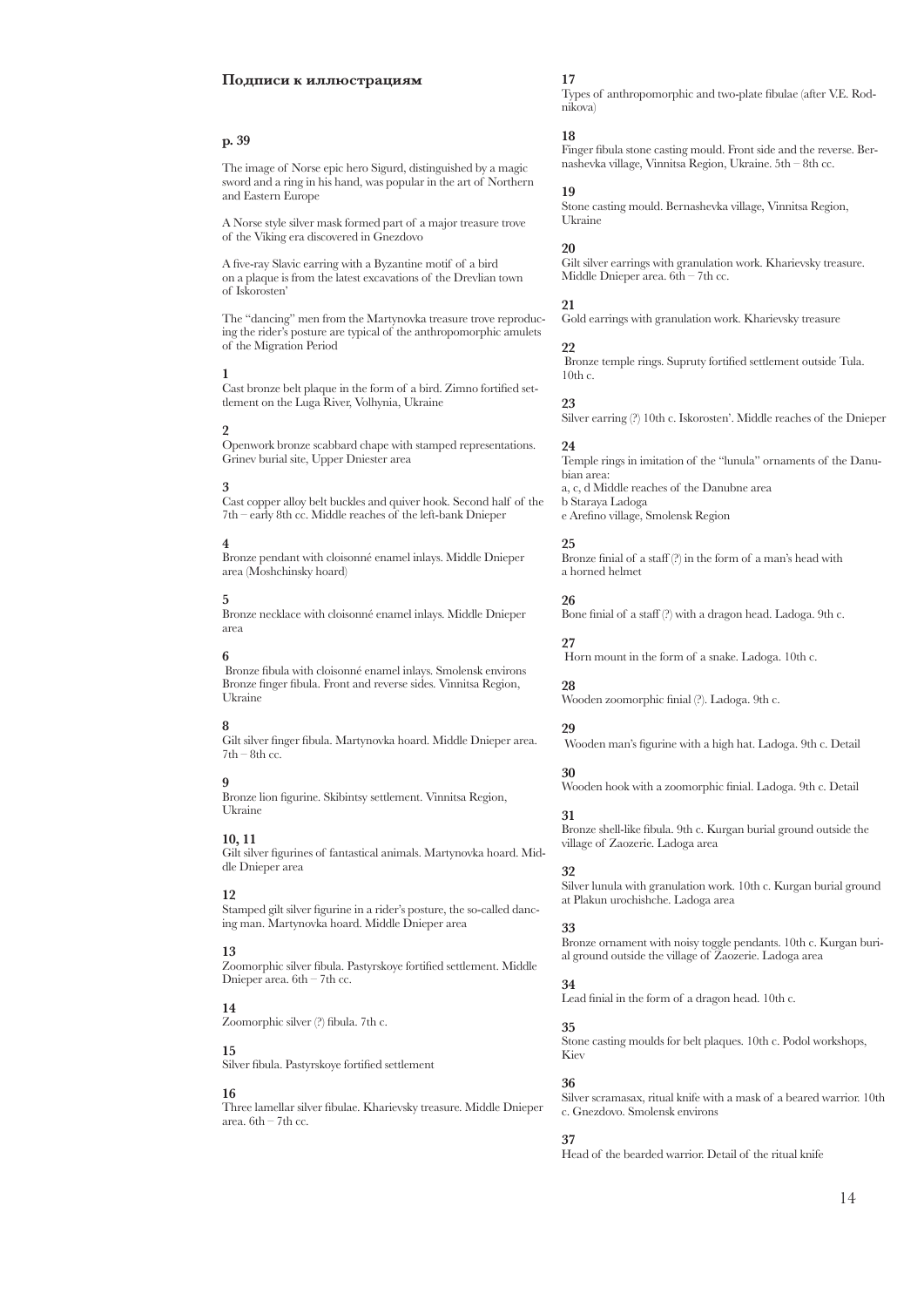#### **Подписи к иллюстрациям**

### **p. 39**

The image of Norse epic hero Sigurd, distinguished by a magic sword and a ring in his hand, was popular in the art of Northern and Eastern Europe

A Norse style silver mask formed part of a major treasure trove of the Viking era discovered in Gnezdovo

A five-ray Slavic earring with a Byzantine motif of a bird on a plaque is from the latest excavations of the Drevlian town of Iskorosten'

The "dancing" men from the Martynovka treasure trove reproducing the rider's posture are typical of the anthropomorphic amulets of the Migration Period

#### **1**

Cast bronze belt plaque in the form of a bird. Zimno fortified settlement on the Luga River, Volhynia, Ukraine

# **2**

Openwork bronze scabbard chape with stamped representations. Grinev burial site, Upper Dniester area

#### **3**

Cast copper alloy belt buckles and quiver hook. Second half of the 7th – early 8th cc. Middle reaches of the left-bank Dnieper

#### **4**

Bronze pendant with cloisonné enamel inlays. Middle Dnieper area (Moshchinsky hoard)

#### **5**

Bronze necklace with cloisonné enamel inlays. Middle Dnieper area

#### **6**

 Bronze fibula with cloisonné enamel inlays. Smolensk environs Bronze finger fibula. Front and reverse sides. Vinnitsa Region, Ukraine

#### **8**

Gilt silver finger fibula. Martynovka hoard. Middle Dnieper area.  $7th - 8th$  cc.

# **9**

Bronze lion figurine. Skibintsy settlement. Vinnitsa Region, Ukraine

#### **10, 11**

Gilt silver figurines of fantastical animals. Martynovka hoard. Middle Dnieper area

#### **12**

Stamped gilt silver figurine in a rider's posture, the so-called dancing man. Martynovka hoard. Middle Dnieper area

#### **13**

Zoomorphic silver fibula. Pastyrskoye fortified settlement. Middle Dnieper area.  $6th - 7th$  cc.

# **14**

Zoomorphic silver (?) fibula. 7th c.

#### **15**

Silver fibula. Pastyrskoye fortified settlement

#### **16**

Three lamellar silver fibulae. Kharievsky treasure. Middle Dnieper area. 6th – 7th cc.

# **17**

Types of anthropomorphic and two-plate fibulae (after V.E. Rodnikova)

#### **18**

Finger fibula stone casting mould. Front side and the reverse. Bernashevka village, Vinnitsa Region, Ukraine. 5th – 8th cc.

#### **19**

Stone casting mould. Bernashevka village, Vinnitsa Region, Ukraine

### **20**

Gilt silver earrings with granulation work. Kharievsky treasure. Middle Dnieper area. 6th – 7th cc.

#### **21**

Gold earrings with granulation work. Kharievsky treasure

# **22**

 Bronze temple rings. Supruty fortified settlement outside Tula. 10th c.

#### **23**

**24**

Silver earring (?) 10th c. Iskorosten'. Middle reaches of the Dnieper

Temple rings in imitation of the "lunula" ornaments of the Danubian area: a, c, d Middle reaches of the Danubne area b Staraya Ladoga e Arefino village, Smolensk Region

#### **25**

Bronze finial of a staff (?) in the form of a man's head with a horned helmet

**26** Bone finial of a staff (?) with a dragon head. Ladoga. 9th c.

#### **27** Horn mount in the form of a snake. Ladoga. 10th c.

**28** Wooden zoomorphic finial (?). Ladoga. 9th c.

#### **29**

Wooden man's figurine with a high hat. Ladoga. 9th c. Detail

#### **30**

Wooden hook with a zoomorphic finial. Ladoga. 9th c. Detail

#### **31**

Bronze shell-like fibula. 9th c. Kurgan burial ground outside the village of Zaozerie. Ladoga area

#### **32**

Silver lunula with granulation work. 10th c. Kurgan burial ground at Plakun urochishche. Ladoga area

# **33**

Bronze ornament with noisy toggle pendants. 10th c. Kurgan burial ground outside the village of Zaozerie. Ladoga area

# **34**

Lead finial in the form of a dragon head. 10th c.

# **35**

Stone casting moulds for belt plaques. 10th c. Podol workshops, Kiev

#### **36**

Silver scramasax, ritual knife with a mask of a beared warrior. 10th c. Gnezdovo. Smolensk environs

#### **37**

Head of the bearded warrior. Detail of the ritual knife